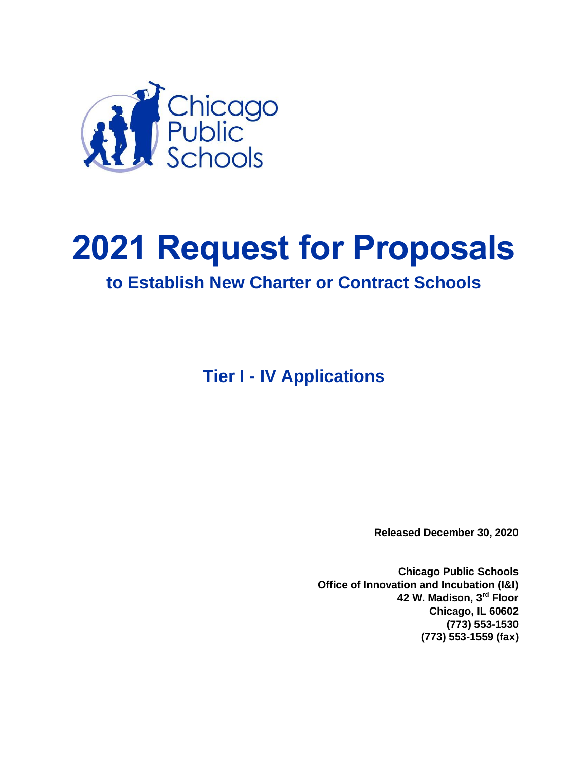

# **2021 Request for Proposals**

# **to Establish New Charter or Contract Schools**

**Tier I - IV Applications**

**Released December 30, 2020**

**Chicago Public Schools Office of Innovation and Incubation (I&I) 42 W. Madison, 3rd Floor Chicago, IL 60602 (773) 553-1530 (773) 553-1559 (fax)**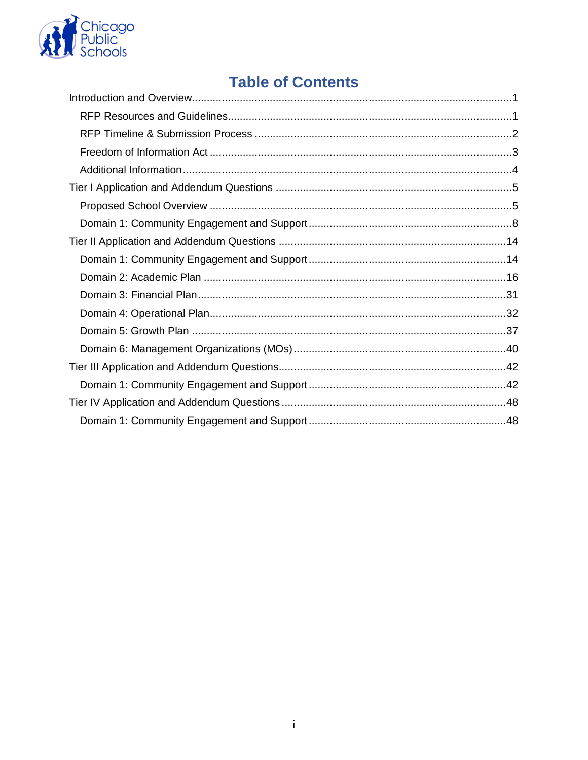

# **Table of Contents**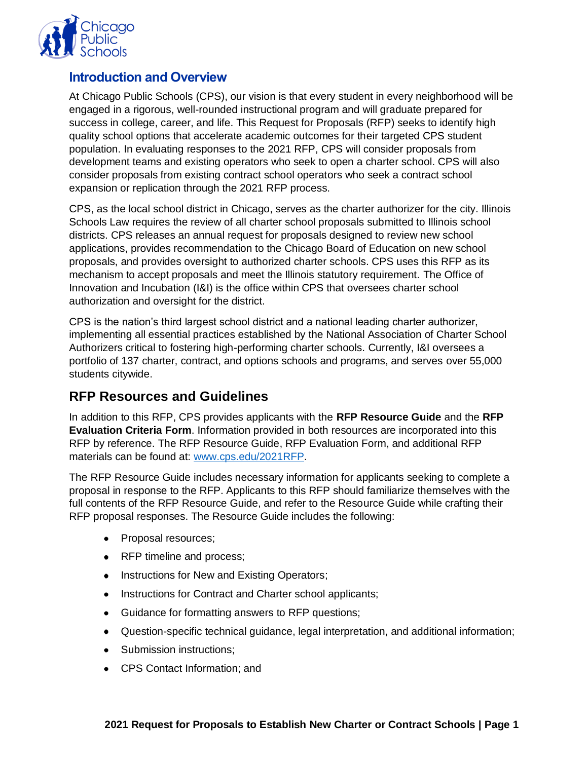

# <span id="page-2-0"></span>**Introduction and Overview**

At Chicago Public Schools (CPS), our vision is that every student in every neighborhood will be engaged in a rigorous, well-rounded instructional program and will graduate prepared for success in college, career, and life. This Request for Proposals (RFP) seeks to identify high quality school options that accelerate academic outcomes for their targeted CPS student population. In evaluating responses to the 2021 RFP, CPS will consider proposals from development teams and existing operators who seek to open a charter school. CPS will also consider proposals from existing contract school operators who seek a contract school expansion or replication through the 2021 RFP process.

CPS, as the local school district in Chicago, serves as the charter authorizer for the city. Illinois Schools Law requires the review of all charter school proposals submitted to Illinois school districts. CPS releases an annual request for proposals designed to review new school applications, provides recommendation to the Chicago Board of Education on new school proposals, and provides oversight to authorized charter schools. CPS uses this RFP as its mechanism to accept proposals and meet the Illinois statutory requirement. The Office of Innovation and Incubation (I&I) is the office within CPS that oversees charter school authorization and oversight for the district.

CPS is the nation's third largest school district and a national leading charter authorizer, implementing all essential practices established by the National Association of Charter School Authorizers critical to fostering high-performing charter schools. Currently, I&I oversees a portfolio of 137 charter, contract, and options schools and programs, and serves over 55,000 students citywide.

# <span id="page-2-1"></span>**RFP Resources and Guidelines**

In addition to this RFP, CPS provides applicants with the **RFP Resource Guide** and the **RFP Evaluation Criteria Form.** Information provided in both resources are incorporated into this RFP by reference. The RFP Resource Guide, RFP Evaluation Form, and additional RFP materials can be found at: [www.cps.edu/2021RFP.](http://www.cps.edu/2021RFP)

The RFP Resource Guide includes necessary information for applicants seeking to complete a proposal in response to the RFP. Applicants to this RFP should familiarize themselves with the full contents of the RFP Resource Guide, and refer to the Resource Guide while crafting their RFP proposal responses. The Resource Guide includes the following:

- Proposal resources;
- RFP timeline and process;
- Instructions for New and Existing Operators;
- Instructions for Contract and Charter school applicants;
- Guidance for formatting answers to RFP questions;
- Question-specific technical guidance, legal interpretation, and additional information;
- Submission instructions;
- CPS Contact Information; and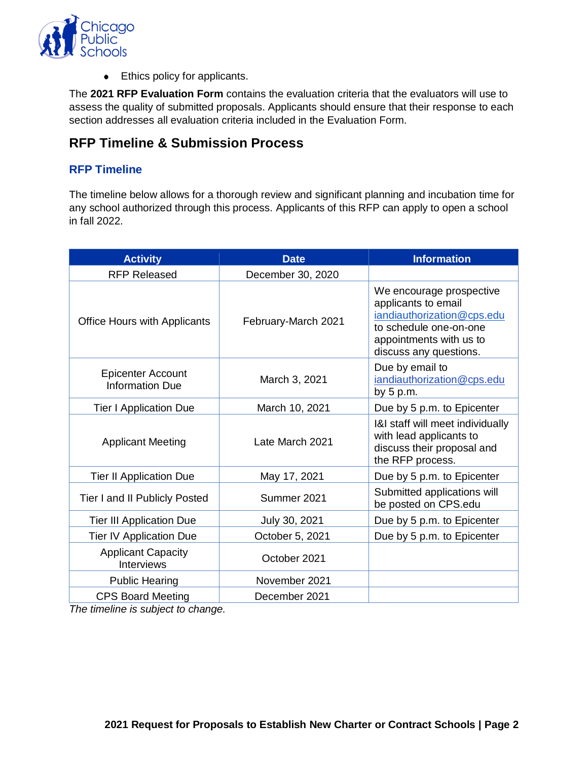

• Ethics policy for applicants.

The **2021 RFP Evaluation Form** contains the evaluation criteria that the evaluators will use to assess the quality of submitted proposals. Applicants should ensure that their response to each section addresses all evaluation criteria included in the Evaluation Form.

# <span id="page-3-0"></span>**RFP Timeline & Submission Process**

# **RFP Timeline**

The timeline below allows for a thorough review and significant planning and incubation time for any school authorized through this process. Applicants of this RFP can apply to open a school in fall 2022.

| <b>Activity</b>                                    | <b>Date</b>         | <b>Information</b>                                                                                                                                           |  |
|----------------------------------------------------|---------------------|--------------------------------------------------------------------------------------------------------------------------------------------------------------|--|
| <b>RFP Released</b>                                | December 30, 2020   |                                                                                                                                                              |  |
| <b>Office Hours with Applicants</b>                | February-March 2021 | We encourage prospective<br>applicants to email<br>iandiauthorization@cps.edu<br>to schedule one-on-one<br>appointments with us to<br>discuss any questions. |  |
| <b>Epicenter Account</b><br><b>Information Due</b> | March 3, 2021       | Due by email to<br>iandiauthorization@cps.edu<br>by $5 p.m.$                                                                                                 |  |
| <b>Tier I Application Due</b>                      | March 10, 2021      | Due by 5 p.m. to Epicenter                                                                                                                                   |  |
| <b>Applicant Meeting</b>                           | Late March 2021     | I&I staff will meet individually<br>with lead applicants to<br>discuss their proposal and<br>the RFP process.                                                |  |
| <b>Tier II Application Due</b>                     | May 17, 2021        | Due by 5 p.m. to Epicenter                                                                                                                                   |  |
| Tier I and II Publicly Posted                      | Summer 2021         | Submitted applications will<br>be posted on CPS.edu                                                                                                          |  |
| <b>Tier III Application Due</b>                    | July 30, 2021       | Due by 5 p.m. to Epicenter                                                                                                                                   |  |
| <b>Tier IV Application Due</b>                     | October 5, 2021     | Due by 5 p.m. to Epicenter                                                                                                                                   |  |
| <b>Applicant Capacity</b><br><b>Interviews</b>     | October 2021        |                                                                                                                                                              |  |
| <b>Public Hearing</b>                              | November 2021       |                                                                                                                                                              |  |
| <b>CPS Board Meeting</b>                           | December 2021       |                                                                                                                                                              |  |

*The timeline is subject to change.*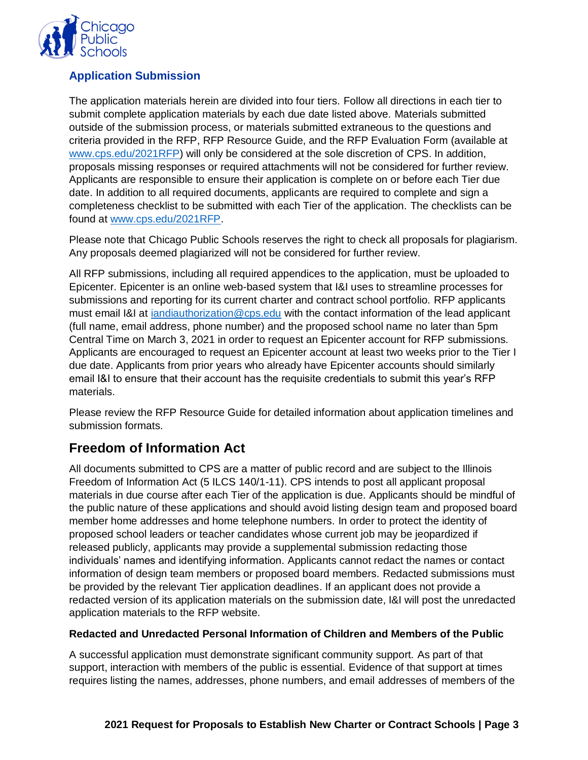

# **Application Submission**

The application materials herein are divided into four tiers. Follow all directions in each tier to submit complete application materials by each due date listed above. Materials submitted outside of the submission process, or materials submitted extraneous to the questions and criteria provided in the RFP, RFP Resource Guide, and the RFP Evaluation Form (available at [www.cps.edu/2021RFP\)](http://www.cps.edu/2021RFP) will only be considered at the sole discretion of CPS. In addition, proposals missing responses or required attachments will not be considered for further review. Applicants are responsible to ensure their application is complete on or before each Tier due date. In addition to all required documents, applicants are required to complete and sign a completeness checklist to be submitted with each Tier of the application. The checklists can be found at [www.cps.edu/2021RFP.](http://www.cps.edu/2021RFP)

Please note that Chicago Public Schools reserves the right to check all proposals for plagiarism. Any proposals deemed plagiarized will not be considered for further review.

All RFP submissions, including all required appendices to the application, must be uploaded to Epicenter. Epicenter is an online web-based system that I&I uses to streamline processes for submissions and reporting for its current charter and contract school portfolio. RFP applicants must email I&I at [iandiauthorization@cps.edu](mailto:iandiauthorization@cps.edu) with the contact information of the lead applicant (full name, email address, phone number) and the proposed school name no later than 5pm Central Time on March 3, 2021 in order to request an Epicenter account for RFP submissions. Applicants are encouraged to request an Epicenter account at least two weeks prior to the Tier I due date. Applicants from prior years who already have Epicenter accounts should similarly email I&I to ensure that their account has the requisite credentials to submit this year's RFP materials.

Please review the RFP Resource Guide for detailed information about application timelines and submission formats.

# <span id="page-4-0"></span>**Freedom of Information Act**

All documents submitted to CPS are a matter of public record and are subject to the Illinois Freedom of Information Act (5 ILCS 140/1-11). CPS intends to post all applicant proposal materials in due course after each Tier of the application is due. Applicants should be mindful of the public nature of these applications and should avoid listing design team and proposed board member home addresses and home telephone numbers. In order to protect the identity of proposed school leaders or teacher candidates whose current job may be jeopardized if released publicly, applicants may provide a supplemental submission redacting those individuals' names and identifying information. Applicants cannot redact the names or contact information of design team members or proposed board members. Redacted submissions must be provided by the relevant Tier application deadlines. If an applicant does not provide a redacted version of its application materials on the submission date, I&I will post the unredacted application materials to the RFP website.

#### **Redacted and Unredacted Personal Information of Children and Members of the Public**

A successful application must demonstrate significant community support. As part of that support, interaction with members of the public is essential. Evidence of that support at times requires listing the names, addresses, phone numbers, and email addresses of members of the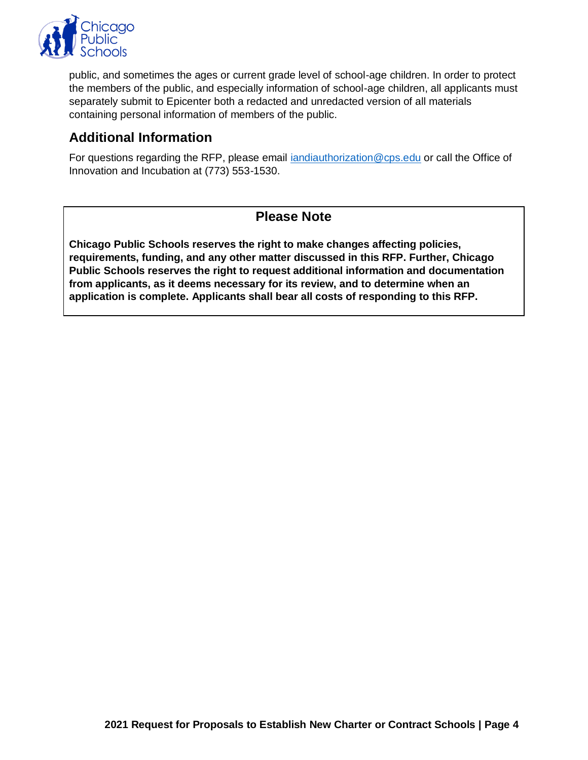

public, and sometimes the ages or current grade level of school-age children. In order to protect the members of the public, and especially information of school-age children, all applicants must separately submit to Epicenter both a redacted and unredacted version of all materials containing personal information of members of the public.

# <span id="page-5-0"></span>**Additional Information**

For questions regarding the RFP, please email [iandiauthorization@cps.edu](mailto:iandiauthorization@cps.edu) or call the Office of Innovation and Incubation at (773) 553-1530.

# **Please Note**

**Chicago Public Schools reserves the right to make changes affecting policies, requirements, funding, and any other matter discussed in this RFP. Further, Chicago Public Schools reserves the right to request additional information and documentation from applicants, as it deems necessary for its review, and to determine when an application is complete. Applicants shall bear all costs of responding to this RFP.**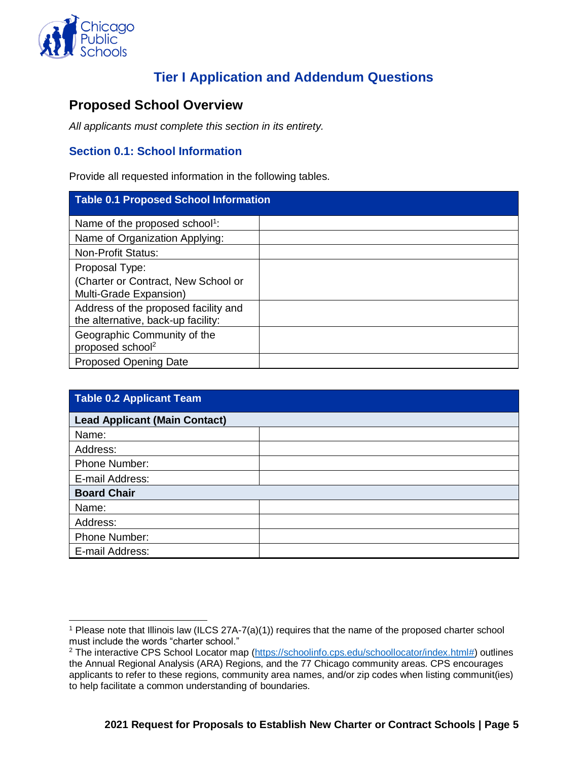

 $\overline{a}$ 

# **Tier I Application and Addendum Questions**

# <span id="page-6-1"></span><span id="page-6-0"></span>**Proposed School Overview**

*All applicants must complete this section in its entirety.* 

# **Section 0.1: School Information**

Provide all requested information in the following tables.

| <b>Table 0.1 Proposed School Information</b>                               |  |
|----------------------------------------------------------------------------|--|
| Name of the proposed school <sup>1</sup> :                                 |  |
| Name of Organization Applying:                                             |  |
| <b>Non-Profit Status:</b>                                                  |  |
| Proposal Type:                                                             |  |
| (Charter or Contract, New School or<br>Multi-Grade Expansion)              |  |
| Address of the proposed facility and<br>the alternative, back-up facility: |  |
| Geographic Community of the<br>proposed school <sup>2</sup>                |  |
| <b>Proposed Opening Date</b>                                               |  |

| <b>Table 0.2 Applicant Team</b>      |  |
|--------------------------------------|--|
| <b>Lead Applicant (Main Contact)</b> |  |
| Name:                                |  |
| Address:                             |  |
| Phone Number:                        |  |
| E-mail Address:                      |  |
| <b>Board Chair</b>                   |  |
| Name:                                |  |
| Address:                             |  |
| Phone Number:                        |  |
| E-mail Address:                      |  |

<sup>1</sup> Please note that Illinois law (ILCS 27A-7(a)(1)) requires that the name of the proposed charter school must include the words "charter school."

<sup>&</sup>lt;sup>2</sup> The interactive CPS School Locator map [\(https://schoolinfo.cps.edu/schoollocator/index.html#\)](https://schoolinfo.cps.edu/schoollocator/index.html) outlines the Annual Regional Analysis (ARA) Regions, and the 77 Chicago community areas. CPS encourages applicants to refer to these regions, community area names, and/or zip codes when listing communit(ies) to help facilitate a common understanding of boundaries.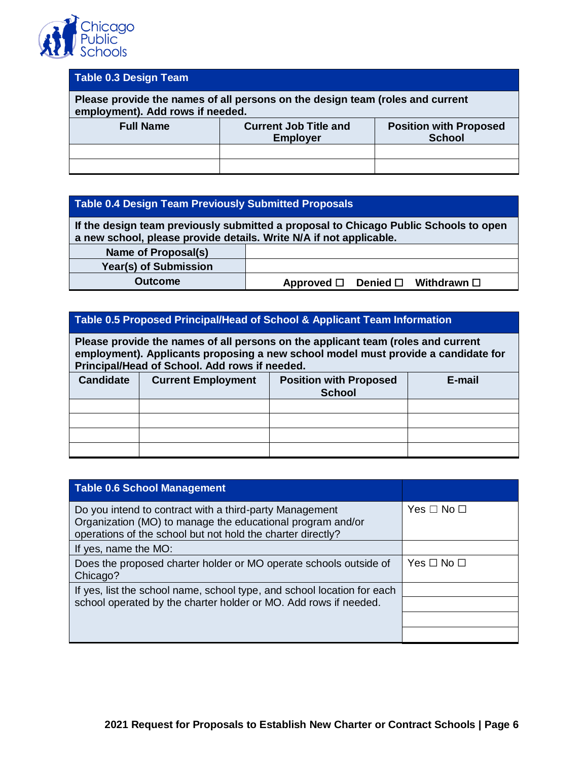

# **Table 0.3 Design Team Please provide the names of all persons on the design team (roles and current employment). Add rows if needed. Full Name Current Job Title and Employer Position with Proposed School**

#### **Table 0.4 Design Team Previously Submitted Proposals**

**If the design team previously submitted a proposal to Chicago Public Schools to open a new school, please provide details. Write N/A if not applicable.**

| Name of Proposal(s)   |  |                                                         |  |
|-----------------------|--|---------------------------------------------------------|--|
| Year(s) of Submission |  |                                                         |  |
| Outcome               |  | Approved $\square$ Denied $\square$ Withdrawn $\square$ |  |

#### **Table 0.5 Proposed Principal/Head of School & Applicant Team Information**

**Please provide the names of all persons on the applicant team (roles and current employment). Applicants proposing a new school model must provide a candidate for Principal/Head of School. Add rows if needed.**

| <b>Candidate</b> | <b>Current Employment</b> | <b>Position with Proposed</b><br><b>School</b> | E-mail |
|------------------|---------------------------|------------------------------------------------|--------|
|                  |                           |                                                |        |
|                  |                           |                                                |        |
|                  |                           |                                                |        |
|                  |                           |                                                |        |

| <b>Table 0.6 School Management</b>                                                                                                                                                   |                      |
|--------------------------------------------------------------------------------------------------------------------------------------------------------------------------------------|----------------------|
| Do you intend to contract with a third-party Management<br>Organization (MO) to manage the educational program and/or<br>operations of the school but not hold the charter directly? | Yes $\Box$ No $\Box$ |
| If yes, name the MO:                                                                                                                                                                 |                      |
| Does the proposed charter holder or MO operate schools outside of<br>Chicago?                                                                                                        | Yes $\Box$ No $\Box$ |
| If yes, list the school name, school type, and school location for each                                                                                                              |                      |
| school operated by the charter holder or MO. Add rows if needed.                                                                                                                     |                      |
|                                                                                                                                                                                      |                      |
|                                                                                                                                                                                      |                      |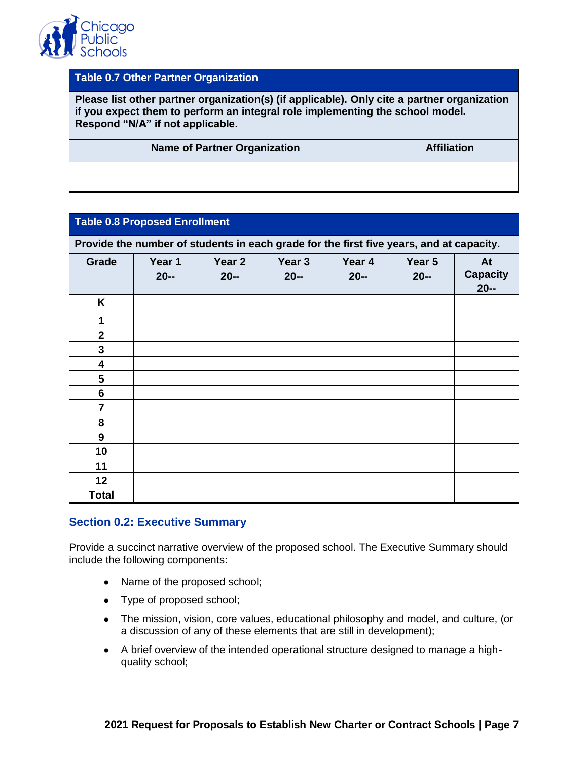

#### **Table 0.7 Other Partner Organization**

**Please list other partner organization(s) (if applicable). Only cite a partner organization if you expect them to perform an integral role implementing the school model. Respond "N/A" if not applicable.**

| <b>Name of Partner Organization</b> | <b>Affiliation</b> |
|-------------------------------------|--------------------|
|                                     |                    |
|                                     |                    |

#### **Table 0.8 Proposed Enrollment**

**Provide the number of students in each grade for the first five years, and at capacity.** 

| Grade            | Year 1<br>$20 -$ | Year 2<br>$20 -$ | Year 3<br>$20 -$ | Year 4<br>$20 -$ | Year 5<br>$20 -$ | At<br><b>Capacity</b><br>$20 -$ |
|------------------|------------------|------------------|------------------|------------------|------------------|---------------------------------|
| K                |                  |                  |                  |                  |                  |                                 |
| 1                |                  |                  |                  |                  |                  |                                 |
| $\mathbf{2}$     |                  |                  |                  |                  |                  |                                 |
| $\mathbf{3}$     |                  |                  |                  |                  |                  |                                 |
| 4                |                  |                  |                  |                  |                  |                                 |
| $5\phantom{1}$   |                  |                  |                  |                  |                  |                                 |
| $6\phantom{1}$   |                  |                  |                  |                  |                  |                                 |
| $\overline{7}$   |                  |                  |                  |                  |                  |                                 |
| 8                |                  |                  |                  |                  |                  |                                 |
| $\boldsymbol{9}$ |                  |                  |                  |                  |                  |                                 |
| 10               |                  |                  |                  |                  |                  |                                 |
| 11               |                  |                  |                  |                  |                  |                                 |
| 12               |                  |                  |                  |                  |                  |                                 |
| <b>Total</b>     |                  |                  |                  |                  |                  |                                 |

#### **Section 0.2: Executive Summary**

Provide a succinct narrative overview of the proposed school. The Executive Summary should include the following components:

- Name of the proposed school;
- Type of proposed school;
- The mission, vision, core values, educational philosophy and model, and culture, (or a discussion of any of these elements that are still in development);
- A brief overview of the intended operational structure designed to manage a highquality school;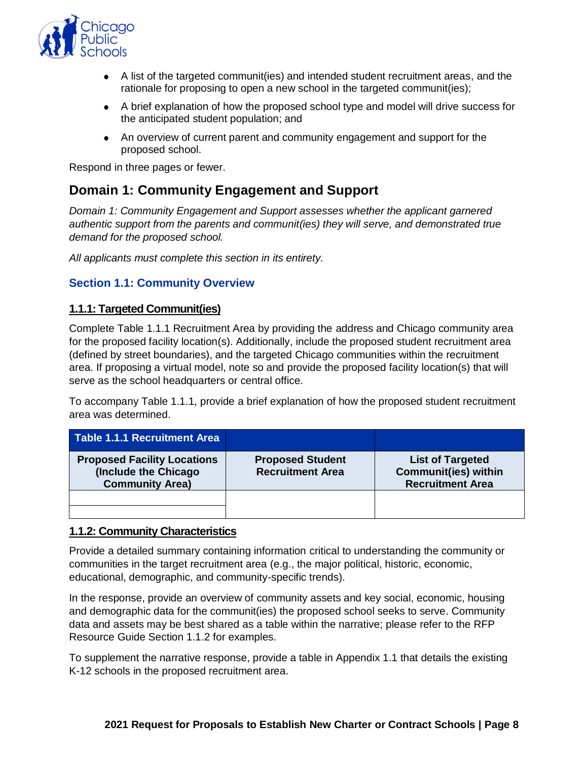

- A list of the targeted communit(ies) and intended student recruitment areas, and the rationale for proposing to open a new school in the targeted communit(ies);
- A brief explanation of how the proposed school type and model will drive success for the anticipated student population; and
- An overview of current parent and community engagement and support for the proposed school.

Respond in three pages or fewer.

# <span id="page-9-0"></span>**Domain 1: Community Engagement and Support**

*Domain 1: Community Engagement and Support assesses whether the applicant garnered authentic support from the parents and communit(ies) they will serve, and demonstrated true demand for the proposed school.*

*All applicants must complete this section in its entirety.*

#### **Section 1.1: Community Overview**

#### **1.1.1: Targeted Communit(ies)**

Complete Table 1.1.1 Recruitment Area by providing the address and Chicago community area for the proposed facility location(s). Additionally, include the proposed student recruitment area (defined by street boundaries), and the targeted Chicago communities within the recruitment area. If proposing a virtual model, note so and provide the proposed facility location(s) that will serve as the school headquarters or central office.

To accompany Table 1.1.1, provide a brief explanation of how the proposed student recruitment area was determined.

| Table 1.1.1 Recruitment Area                                                         |                                                    |                                                                                   |
|--------------------------------------------------------------------------------------|----------------------------------------------------|-----------------------------------------------------------------------------------|
| <b>Proposed Facility Locations</b><br>(Include the Chicago<br><b>Community Area)</b> | <b>Proposed Student</b><br><b>Recruitment Area</b> | <b>List of Targeted</b><br><b>Communit(ies) within</b><br><b>Recruitment Area</b> |
|                                                                                      |                                                    |                                                                                   |
|                                                                                      |                                                    |                                                                                   |

#### **1.1.2: Community Characteristics**

Provide a detailed summary containing information critical to understanding the community or communities in the target recruitment area (e.g., the major political, historic, economic, educational, demographic, and community-specific trends).

In the response, provide an overview of community assets and key social, economic, housing and demographic data for the communit(ies) the proposed school seeks to serve. Community data and assets may be best shared as a table within the narrative; please refer to the RFP Resource Guide Section 1.1.2 for examples.

To supplement the narrative response, provide a table in Appendix 1.1 that details the existing K-12 schools in the proposed recruitment area.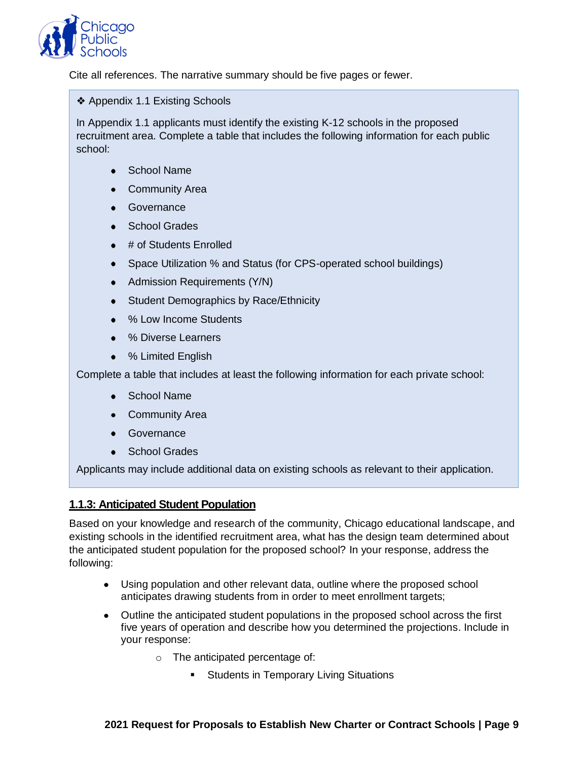

Cite all references. The narrative summary should be five pages or fewer.

❖ Appendix 1.1 Existing Schools

In Appendix 1.1 applicants must identify the existing K-12 schools in the proposed recruitment area. Complete a table that includes the following information for each public school:

- School Name
- Community Area
- Governance
- School Grades
- $\bullet$  # of Students Enrolled
- Space Utilization % and Status (for CPS-operated school buildings)
- Admission Requirements (Y/N)
- Student Demographics by Race/Ethnicity
- % Low Income Students
- % Diverse Learners
- % Limited English

Complete a table that includes at least the following information for each private school:

- School Name
- Community Area
- Governance
- School Grades  $\bullet$

Applicants may include additional data on existing schools as relevant to their application.

#### **1.1.3: Anticipated Student Population**

Based on your knowledge and research of the community, Chicago educational landscape, and existing schools in the identified recruitment area, what has the design team determined about the anticipated student population for the proposed school? In your response, address the following:

- Using population and other relevant data, outline where the proposed school anticipates drawing students from in order to meet enrollment targets;
- Outline the anticipated student populations in the proposed school across the first five years of operation and describe how you determined the projections. Include in your response:
	- o The anticipated percentage of:
		- **EXECT:** Students in Temporary Living Situations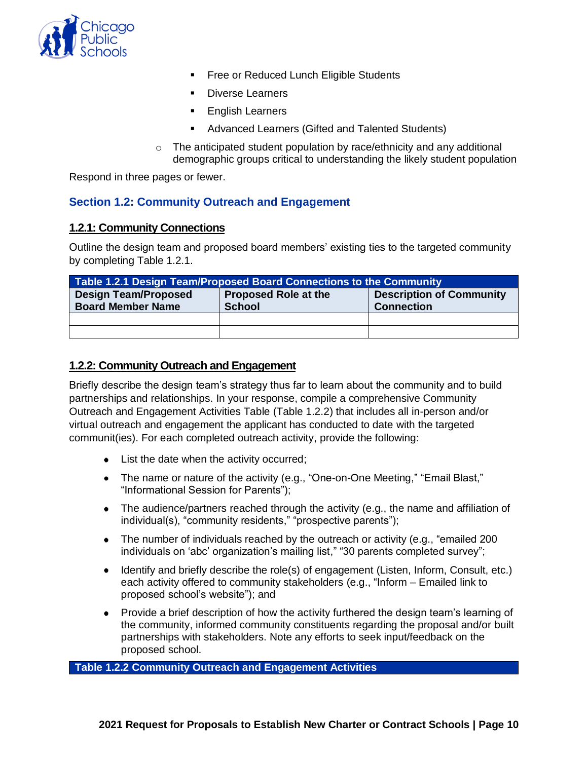

- Free or Reduced Lunch Eligible Students
- Diverse Learners
- English Learners
- Advanced Learners (Gifted and Talented Students)
- $\circ$  The anticipated student population by race/ethnicity and any additional demographic groups critical to understanding the likely student population

Respond in three pages or fewer.

#### **Section 1.2: Community Outreach and Engagement**

#### **1.2.1: Community Connections**

Outline the design team and proposed board members' existing ties to the targeted community by completing Table 1.2.1.

| Table 1.2.1 Design Team/Proposed Board Connections to the Community                                                                                             |  |  |  |  |  |  |
|-----------------------------------------------------------------------------------------------------------------------------------------------------------------|--|--|--|--|--|--|
| <b>Description of Community</b><br><b>Design Team/Proposed</b><br><b>Proposed Role at the</b><br><b>Board Member Name</b><br><b>Connection</b><br><b>School</b> |  |  |  |  |  |  |
|                                                                                                                                                                 |  |  |  |  |  |  |
|                                                                                                                                                                 |  |  |  |  |  |  |

#### **1.2.2: Community Outreach and Engagement**

Briefly describe the design team's strategy thus far to learn about the community and to build partnerships and relationships. In your response, compile a comprehensive Community Outreach and Engagement Activities Table (Table 1.2.2) that includes all in-person and/or virtual outreach and engagement the applicant has conducted to date with the targeted communit(ies). For each completed outreach activity, provide the following:

- List the date when the activity occurred;
- The name or nature of the activity (e.g., "One-on-One Meeting," "Email Blast," "Informational Session for Parents");
- The audience/partners reached through the activity (e.g., the name and affiliation of individual(s), "community residents," "prospective parents");
- The number of individuals reached by the outreach or activity (e.g., "emailed 200 individuals on 'abc' organization's mailing list," "30 parents completed survey";
- Identify and briefly describe the role(s) of engagement (Listen, Inform, Consult, etc.) each activity offered to community stakeholders (e.g., "Inform – Emailed link to proposed school's website"); and
- Provide a brief description of how the activity furthered the design team's learning of the community, informed community constituents regarding the proposal and/or built partnerships with stakeholders. Note any efforts to seek input/feedback on the proposed school.

**Table 1.2.2 Community Outreach and Engagement Activities**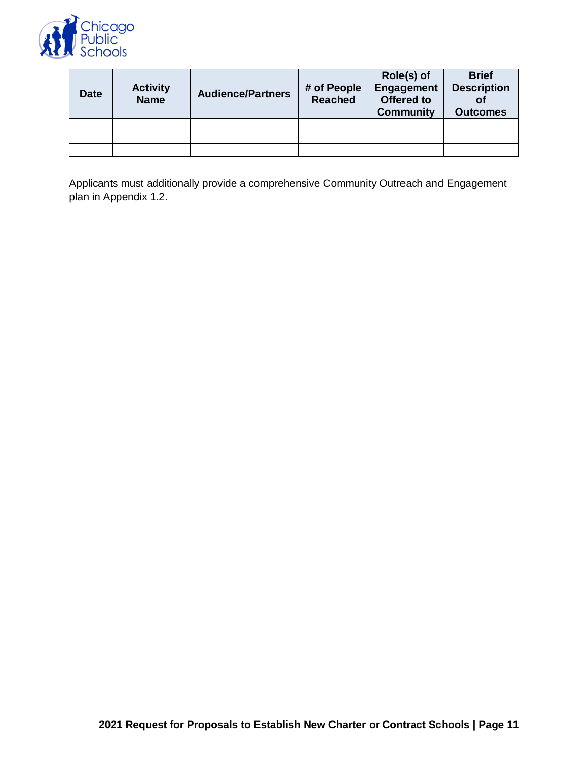

| <b>Date</b> | <b>Activity</b><br><b>Name</b> | <b>Audience/Partners</b> | # of People<br><b>Reached</b> | Role(s) of<br>Engagement<br>Offered to<br><b>Community</b> | <b>Brief</b><br><b>Description</b><br>Οi<br><b>Outcomes</b> |
|-------------|--------------------------------|--------------------------|-------------------------------|------------------------------------------------------------|-------------------------------------------------------------|
|             |                                |                          |                               |                                                            |                                                             |
|             |                                |                          |                               |                                                            |                                                             |
|             |                                |                          |                               |                                                            |                                                             |

Applicants must additionally provide a comprehensive Community Outreach and Engagement plan in Appendix 1.2.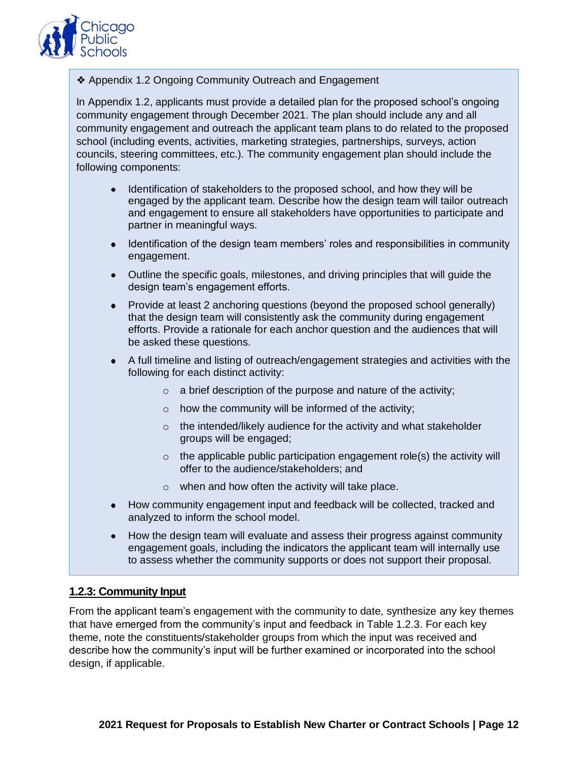

❖ Appendix 1.2 Ongoing Community Outreach and Engagement

In Appendix 1.2, applicants must provide a detailed plan for the proposed school's ongoing community engagement through December 2021. The plan should include any and all community engagement and outreach the applicant team plans to do related to the proposed school (including events, activities, marketing strategies, partnerships, surveys, action councils, steering committees, etc.). The community engagement plan should include the following components:

- Identification of stakeholders to the proposed school, and how they will be engaged by the applicant team. Describe how the design team will tailor outreach and engagement to ensure all stakeholders have opportunities to participate and partner in meaningful ways.
- Identification of the design team members' roles and responsibilities in community engagement.
- Outline the specific goals, milestones, and driving principles that will guide the design team's engagement efforts.
- Provide at least 2 anchoring questions (beyond the proposed school generally) that the design team will consistently ask the community during engagement efforts. Provide a rationale for each anchor question and the audiences that will be asked these questions.
- A full timeline and listing of outreach/engagement strategies and activities with the following for each distinct activity:
	- $\circ$  a brief description of the purpose and nature of the activity;
	- $\circ$  how the community will be informed of the activity;
	- $\circ$  the intended/likely audience for the activity and what stakeholder groups will be engaged;
	- $\circ$  the applicable public participation engagement role(s) the activity will offer to the audience/stakeholders; and
	- $\circ$  when and how often the activity will take place.
- How community engagement input and feedback will be collected, tracked and analyzed to inform the school model.
- How the design team will evaluate and assess their progress against community engagement goals, including the indicators the applicant team will internally use to assess whether the community supports or does not support their proposal.

#### **1.2.3: Community Input**

From the applicant team's engagement with the community to date, synthesize any key themes that have emerged from the community's input and feedback in Table 1.2.3. For each key theme, note the constituents/stakeholder groups from which the input was received and describe how the community's input will be further examined or incorporated into the school design, if applicable.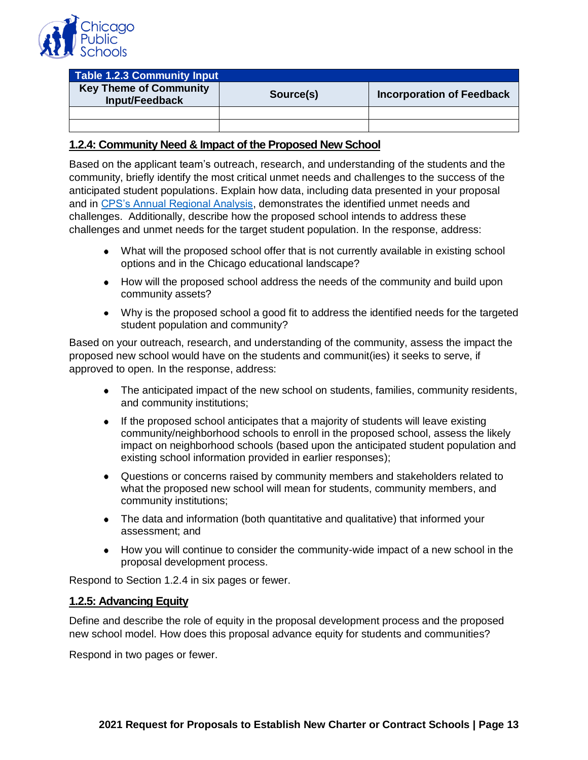

| Table 1.2.3 Community Input                     |           |                                  |  |  |  |  |
|-------------------------------------------------|-----------|----------------------------------|--|--|--|--|
| <b>Key Theme of Community</b><br>Input/Feedback | Source(s) | <b>Incorporation of Feedback</b> |  |  |  |  |
|                                                 |           |                                  |  |  |  |  |
|                                                 |           |                                  |  |  |  |  |

#### **1.2.4: Community Need & Impact of the Proposed New School**

Based on the applicant team's outreach, research, and understanding of the students and the community, briefly identify the most critical unmet needs and challenges to the success of the anticipated student populations. Explain how data, including data presented in your proposal and in [CPS's Annual Regional Analysis,](http://ara.cps.edu/) demonstrates the identified unmet needs and challenges. Additionally, describe how the proposed school intends to address these challenges and unmet needs for the target student population. In the response, address:

- What will the proposed school offer that is not currently available in existing school options and in the Chicago educational landscape?
- How will the proposed school address the needs of the community and build upon community assets?
- Why is the proposed school a good fit to address the identified needs for the targeted student population and community?

Based on your outreach, research, and understanding of the community, assess the impact the proposed new school would have on the students and communit(ies) it seeks to serve, if approved to open. In the response, address:

- The anticipated impact of the new school on students, families, community residents, and community institutions;
- If the proposed school anticipates that a majority of students will leave existing community/neighborhood schools to enroll in the proposed school, assess the likely impact on neighborhood schools (based upon the anticipated student population and existing school information provided in earlier responses);
- Questions or concerns raised by community members and stakeholders related to what the proposed new school will mean for students, community members, and community institutions;
- The data and information (both quantitative and qualitative) that informed your assessment; and
- How you will continue to consider the community-wide impact of a new school in the proposal development process.

Respond to Section 1.2.4 in six pages or fewer.

#### **1.2.5: Advancing Equity**

Define and describe the role of equity in the proposal development process and the proposed new school model. How does this proposal advance equity for students and communities?

Respond in two pages or fewer.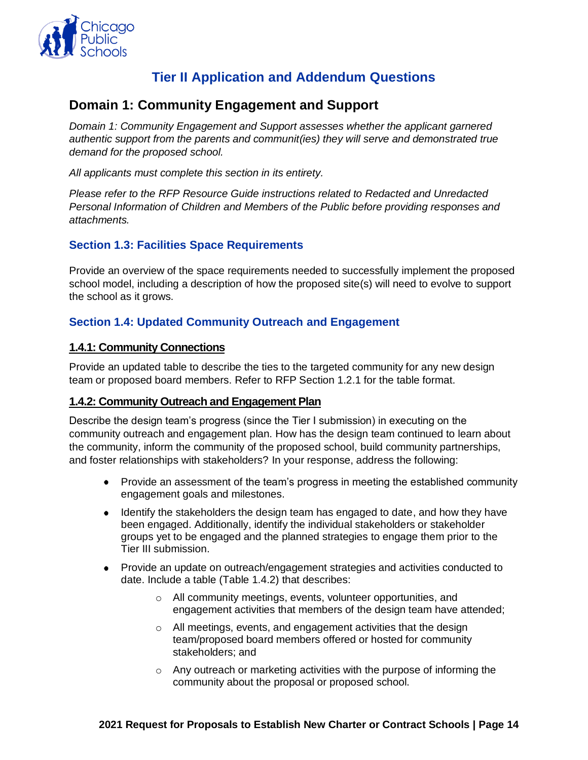

# **Tier II Application and Addendum Questions**

# <span id="page-15-1"></span><span id="page-15-0"></span>**Domain 1: Community Engagement and Support**

*Domain 1: Community Engagement and Support assesses whether the applicant garnered authentic support from the parents and communit(ies) they will serve and demonstrated true demand for the proposed school.*

*All applicants must complete this section in its entirety.*

*Please refer to the RFP Resource Guide instructions related to Redacted and Unredacted Personal Information of Children and Members of the Public before providing responses and attachments.*

# **Section 1.3: Facilities Space Requirements**

Provide an overview of the space requirements needed to successfully implement the proposed school model, including a description of how the proposed site(s) will need to evolve to support the school as it grows.

# **Section 1.4: Updated Community Outreach and Engagement**

#### **1.4.1: Community Connections**

Provide an updated table to describe the ties to the targeted community for any new design team or proposed board members. Refer to RFP Section 1.2.1 for the table format.

#### **1.4.2: Community Outreach and Engagement Plan**

Describe the design team's progress (since the Tier I submission) in executing on the community outreach and engagement plan. How has the design team continued to learn about the community, inform the community of the proposed school, build community partnerships, and foster relationships with stakeholders? In your response, address the following:

- Provide an assessment of the team's progress in meeting the established community engagement goals and milestones.
- Identify the stakeholders the design team has engaged to date, and how they have been engaged. Additionally, identify the individual stakeholders or stakeholder groups yet to be engaged and the planned strategies to engage them prior to the Tier III submission.
- Provide an update on outreach/engagement strategies and activities conducted to date. Include a table (Table 1.4.2) that describes:
	- o All community meetings, events, volunteer opportunities, and engagement activities that members of the design team have attended;
	- o All meetings, events, and engagement activities that the design team/proposed board members offered or hosted for community stakeholders; and
	- o Any outreach or marketing activities with the purpose of informing the community about the proposal or proposed school.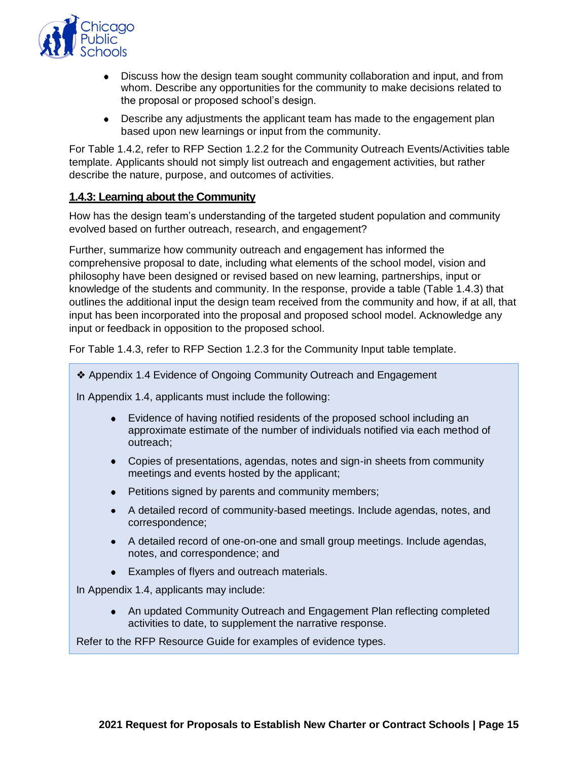

- Discuss how the design team sought community collaboration and input, and from whom. Describe any opportunities for the community to make decisions related to the proposal or proposed school's design.
- Describe any adjustments the applicant team has made to the engagement plan based upon new learnings or input from the community.

For Table 1.4.2, refer to RFP Section 1.2.2 for the Community Outreach Events/Activities table template. Applicants should not simply list outreach and engagement activities, but rather describe the nature, purpose, and outcomes of activities.

#### **1.4.3: Learning about the Community**

How has the design team's understanding of the targeted student population and community evolved based on further outreach, research, and engagement?

Further, summarize how community outreach and engagement has informed the comprehensive proposal to date, including what elements of the school model, vision and philosophy have been designed or revised based on new learning, partnerships, input or knowledge of the students and community. In the response, provide a table (Table 1.4.3) that outlines the additional input the design team received from the community and how, if at all, that input has been incorporated into the proposal and proposed school model. Acknowledge any input or feedback in opposition to the proposed school.

For Table 1.4.3, refer to RFP Section 1.2.3 for the Community Input table template.

❖ Appendix 1.4 Evidence of Ongoing Community Outreach and Engagement

In Appendix 1.4, applicants must include the following:

- Evidence of having notified residents of the proposed school including an approximate estimate of the number of individuals notified via each method of outreach;
- Copies of presentations, agendas, notes and sign-in sheets from community meetings and events hosted by the applicant;
- Petitions signed by parents and community members;
- A detailed record of community-based meetings. Include agendas, notes, and correspondence;
- A detailed record of one-on-one and small group meetings. Include agendas, notes, and correspondence; and
- Examples of flyers and outreach materials.

In Appendix 1.4, applicants may include:

An updated Community Outreach and Engagement Plan reflecting completed activities to date, to supplement the narrative response.

Refer to the RFP Resource Guide for examples of evidence types.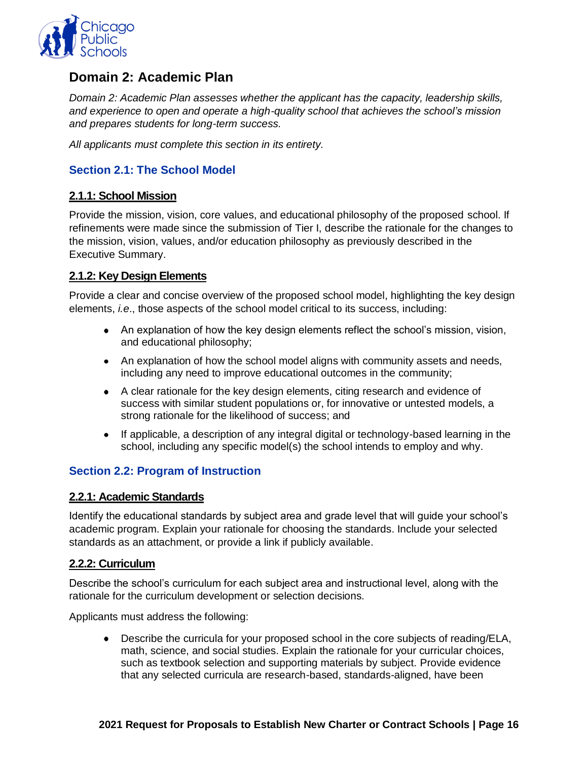

# <span id="page-17-0"></span>**Domain 2: Academic Plan**

*Domain 2: Academic Plan assesses whether the applicant has the capacity, leadership skills, and experience to open and operate a high-quality school that achieves the school's mission and prepares students for long-term success.* 

*All applicants must complete this section in its entirety.*

# **Section 2.1: The School Model**

#### **2.1.1: School Mission**

Provide the mission, vision, core values, and educational philosophy of the proposed school. If refinements were made since the submission of Tier I, describe the rationale for the changes to the mission, vision, values, and/or education philosophy as previously described in the Executive Summary.

#### **2.1.2: Key Design Elements**

Provide a clear and concise overview of the proposed school model, highlighting the key design elements, *i.e*., those aspects of the school model critical to its success, including:

- An explanation of how the key design elements reflect the school's mission, vision, and educational philosophy;
- An explanation of how the school model aligns with community assets and needs, including any need to improve educational outcomes in the community;
- A clear rationale for the key design elements, citing research and evidence of success with similar student populations or, for innovative or untested models, a strong rationale for the likelihood of success; and
- If applicable, a description of any integral digital or technology-based learning in the school, including any specific model(s) the school intends to employ and why.

#### **Section 2.2: Program of Instruction**

#### **2.2.1: Academic Standards**

Identify the educational standards by subject area and grade level that will guide your school's academic program. Explain your rationale for choosing the standards. Include your selected standards as an attachment, or provide a link if publicly available.

#### **2.2.2: Curriculum**

Describe the school's curriculum for each subject area and instructional level, along with the rationale for the curriculum development or selection decisions.

Applicants must address the following:

Describe the curricula for your proposed school in the core subjects of reading/ELA, math, science, and social studies. Explain the rationale for your curricular choices, such as textbook selection and supporting materials by subject. Provide evidence that any selected curricula are research-based, standards-aligned, have been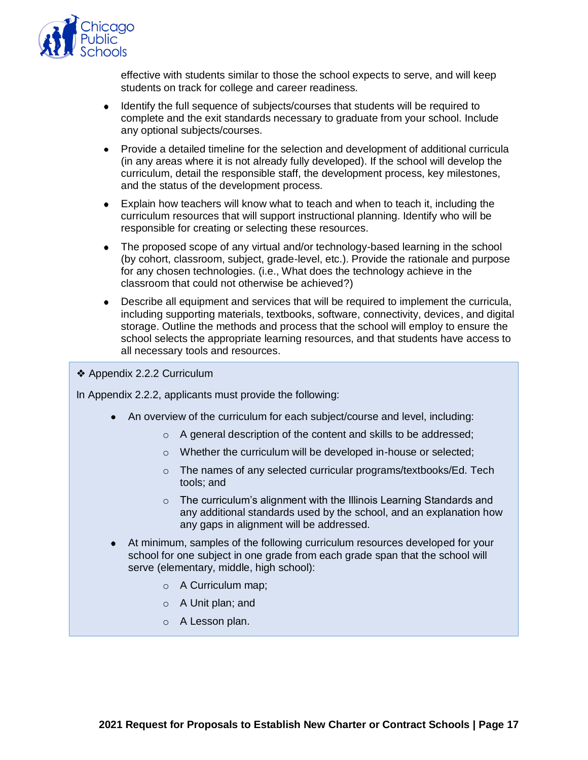

effective with students similar to those the school expects to serve, and will keep students on track for college and career readiness.

- Identify the full sequence of subjects/courses that students will be required to complete and the exit standards necessary to graduate from your school. Include any optional subjects/courses.
- Provide a detailed timeline for the selection and development of additional curricula (in any areas where it is not already fully developed). If the school will develop the curriculum, detail the responsible staff, the development process, key milestones, and the status of the development process.
- Explain how teachers will know what to teach and when to teach it, including the curriculum resources that will support instructional planning. Identify who will be responsible for creating or selecting these resources.
- The proposed scope of any virtual and/or technology-based learning in the school (by cohort, classroom, subject, grade-level, etc.). Provide the rationale and purpose for any chosen technologies. (i.e., What does the technology achieve in the classroom that could not otherwise be achieved?)
- Describe all equipment and services that will be required to implement the curricula,  $\bullet$ including supporting materials, textbooks, software, connectivity, devices, and digital storage. Outline the methods and process that the school will employ to ensure the school selects the appropriate learning resources, and that students have access to all necessary tools and resources.
- ❖ Appendix 2.2.2 Curriculum

In Appendix 2.2.2, applicants must provide the following:

- An overview of the curriculum for each subject/course and level, including:
	- o A general description of the content and skills to be addressed;
	- o Whether the curriculum will be developed in-house or selected;
	- o The names of any selected curricular programs/textbooks/Ed. Tech tools; and
	- $\circ$  The curriculum's alignment with the Illinois Learning Standards and any additional standards used by the school, and an explanation how any gaps in alignment will be addressed.
- At minimum, samples of the following curriculum resources developed for your school for one subject in one grade from each grade span that the school will serve (elementary, middle, high school):
	- o A Curriculum map;
	- o A Unit plan; and
	- o A Lesson plan.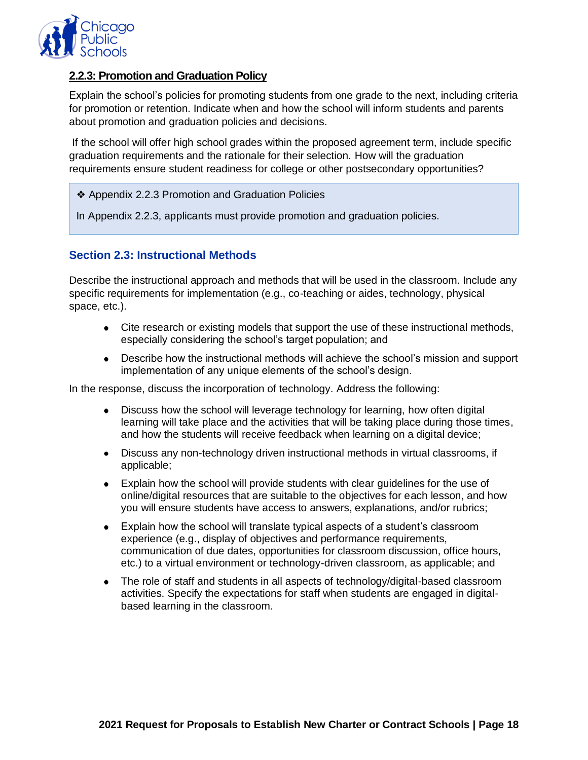

# **2.2.3: Promotion and Graduation Policy**

Explain the school's policies for promoting students from one grade to the next, including criteria for promotion or retention. Indicate when and how the school will inform students and parents about promotion and graduation policies and decisions.

If the school will offer high school grades within the proposed agreement term, include specific graduation requirements and the rationale for their selection. How will the graduation requirements ensure student readiness for college or other postsecondary opportunities?

- ❖ Appendix 2.2.3 Promotion and Graduation Policies
- In Appendix 2.2.3, applicants must provide promotion and graduation policies.

# **Section 2.3: Instructional Methods**

Describe the instructional approach and methods that will be used in the classroom. Include any specific requirements for implementation (e.g., co-teaching or aides, technology, physical space, etc.).

- Cite research or existing models that support the use of these instructional methods, especially considering the school's target population; and
- Describe how the instructional methods will achieve the school's mission and support implementation of any unique elements of the school's design.

In the response, discuss the incorporation of technology. Address the following:

- Discuss how the school will leverage technology for learning, how often digital learning will take place and the activities that will be taking place during those times, and how the students will receive feedback when learning on a digital device;
- Discuss any non-technology driven instructional methods in virtual classrooms, if applicable;
- Explain how the school will provide students with clear guidelines for the use of online/digital resources that are suitable to the objectives for each lesson, and how you will ensure students have access to answers, explanations, and/or rubrics;
- Explain how the school will translate typical aspects of a student's classroom experience (e.g., display of objectives and performance requirements, communication of due dates, opportunities for classroom discussion, office hours, etc.) to a virtual environment or technology-driven classroom, as applicable; and
- The role of staff and students in all aspects of technology/digital-based classroom activities. Specify the expectations for staff when students are engaged in digitalbased learning in the classroom.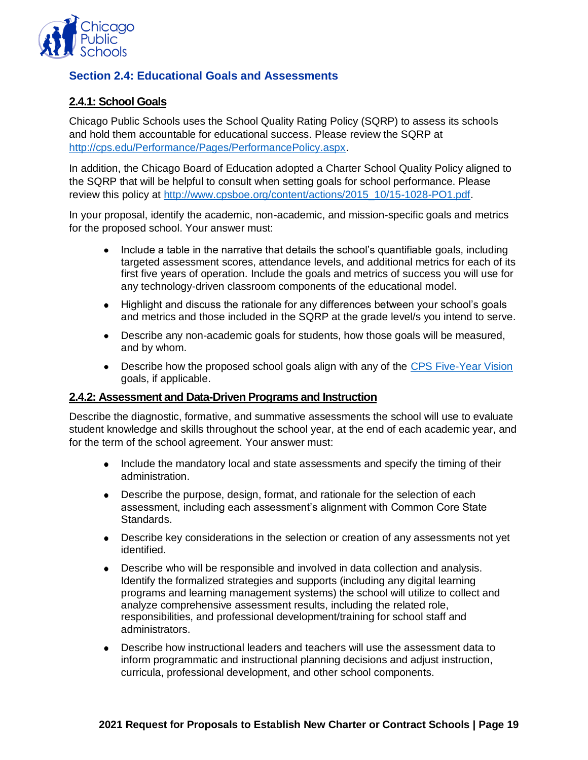

# **Section 2.4: Educational Goals and Assessments**

# **2.4.1: School Goals**

Chicago Public Schools uses the School Quality Rating Policy (SQRP) to assess its schools and hold them accountable for educational success. Please review the SQRP at [http://cps.edu/Performance/Pages/PerformancePolicy.aspx.](http://cps.edu/Performance/Pages/PerformancePolicy.aspx)

In addition, the Chicago Board of Education adopted a Charter School Quality Policy aligned to the SQRP that will be helpful to consult when setting goals for school performance. Please review this policy at [http://www.cpsboe.org/content/actions/2015\\_10/15-1028-PO1.pdf.](http://www.cpsboe.org/content/actions/2015_10/15-1028-PO1.pdf)

In your proposal, identify the academic, non-academic, and mission-specific goals and metrics for the proposed school. Your answer must:

- Include a table in the narrative that details the school's quantifiable goals, including targeted assessment scores, attendance levels, and additional metrics for each of its first five years of operation. Include the goals and metrics of success you will use for any technology-driven classroom components of the educational model.
- Highlight and discuss the rationale for any differences between your school's goals and metrics and those included in the SQRP at the grade level/s you intend to serve.
- Describe any non-academic goals for students, how those goals will be measured, and by whom.
- Describe how the proposed school goals align with any of the [CPS Five-Year Vision](https://www.cps.edu/about/vision/) goals, if applicable.

#### **2.4.2: Assessment and Data-Driven Programs and Instruction**

Describe the diagnostic, formative, and summative assessments the school will use to evaluate student knowledge and skills throughout the school year, at the end of each academic year, and for the term of the school agreement. Your answer must:

- Include the mandatory local and state assessments and specify the timing of their administration.
- Describe the purpose, design, format, and rationale for the selection of each assessment, including each assessment's alignment with Common Core State Standards.
- Describe key considerations in the selection or creation of any assessments not yet identified.
- Describe who will be responsible and involved in data collection and analysis. Identify the formalized strategies and supports (including any digital learning programs and learning management systems) the school will utilize to collect and analyze comprehensive assessment results, including the related role, responsibilities, and professional development/training for school staff and administrators.
- Describe how instructional leaders and teachers will use the assessment data to inform programmatic and instructional planning decisions and adjust instruction, curricula, professional development, and other school components.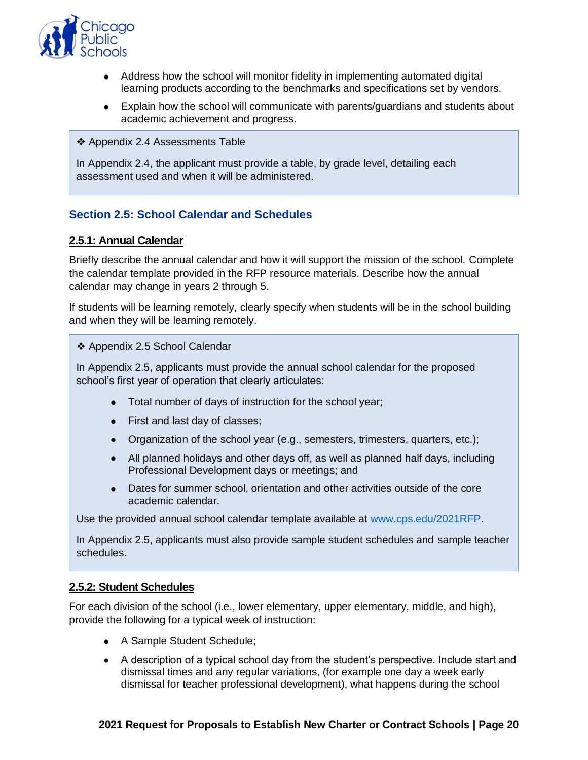

- Address how the school will monitor fidelity in implementing automated digital learning products according to the benchmarks and specifications set by vendors.
- Explain how the school will communicate with parents/guardians and students about academic achievement and progress.
- ❖ Appendix 2.4 Assessments Table

In Appendix 2.4, the applicant must provide a table, by grade level, detailing each assessment used and when it will be administered.

# **Section 2.5: School Calendar and Schedules**

#### **2.5.1: Annual Calendar**

Briefly describe the annual calendar and how it will support the mission of the school. Complete the calendar template provided in the RFP resource materials. Describe how the annual calendar may change in years 2 through 5.

If students will be learning remotely, clearly specify when students will be in the school building and when they will be learning remotely.

❖ Appendix 2.5 School Calendar

In Appendix 2.5, applicants must provide the annual school calendar for the proposed school's first year of operation that clearly articulates:

- Total number of days of instruction for the school year;
- First and last day of classes;
- Organization of the school year (e.g., semesters, trimesters, quarters, etc.);
- All planned holidays and other days off, as well as planned half days, including Professional Development days or meetings; and
- Dates for summer school, orientation and other activities outside of the core academic calendar.

Use the provided annual school calendar template available at [www.cps.edu/2021RFP.](http://www.cps.edu/2021RFP)

In Appendix 2.5, applicants must also provide sample student schedules and sample teacher schedules.

#### **2.5.2: Student Schedules**

For each division of the school (i.e., lower elementary, upper elementary, middle, and high), provide the following for a typical week of instruction:

- A Sample Student Schedule;
- A description of a typical school day from the student's perspective. Include start and dismissal times and any regular variations, (for example one day a week early dismissal for teacher professional development), what happens during the school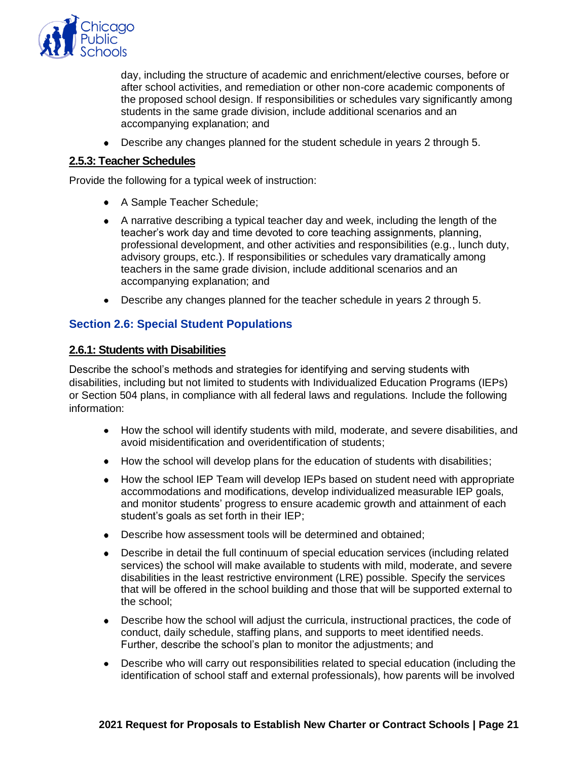

day, including the structure of academic and enrichment/elective courses, before or after school activities, and remediation or other non-core academic components of the proposed school design. If responsibilities or schedules vary significantly among students in the same grade division, include additional scenarios and an accompanying explanation; and

Describe any changes planned for the student schedule in years 2 through 5.

#### **2.5.3: Teacher Schedules**

Provide the following for a typical week of instruction:

- A Sample Teacher Schedule:
- A narrative describing a typical teacher day and week, including the length of the teacher's work day and time devoted to core teaching assignments, planning, professional development, and other activities and responsibilities (e.g., lunch duty, advisory groups, etc.). If responsibilities or schedules vary dramatically among teachers in the same grade division, include additional scenarios and an accompanying explanation; and
- Describe any changes planned for the teacher schedule in years 2 through 5.

# **Section 2.6: Special Student Populations**

#### **2.6.1: Students with Disabilities**

Describe the school's methods and strategies for identifying and serving students with disabilities, including but not limited to students with Individualized Education Programs (IEPs) or Section 504 plans, in compliance with all federal laws and regulations. Include the following information:

- How the school will identify students with mild, moderate, and severe disabilities, and avoid misidentification and overidentification of students;
- How the school will develop plans for the education of students with disabilities;
- How the school IEP Team will develop IEPs based on student need with appropriate accommodations and modifications, develop individualized measurable IEP goals, and monitor students' progress to ensure academic growth and attainment of each student's goals as set forth in their IEP;
- Describe how assessment tools will be determined and obtained:
- Describe in detail the full continuum of special education services (including related services) the school will make available to students with mild, moderate, and severe disabilities in the least restrictive environment (LRE) possible. Specify the services that will be offered in the school building and those that will be supported external to the school;
- Describe how the school will adjust the curricula, instructional practices, the code of conduct, daily schedule, staffing plans, and supports to meet identified needs. Further, describe the school's plan to monitor the adjustments; and
- Describe who will carry out responsibilities related to special education (including the identification of school staff and external professionals), how parents will be involved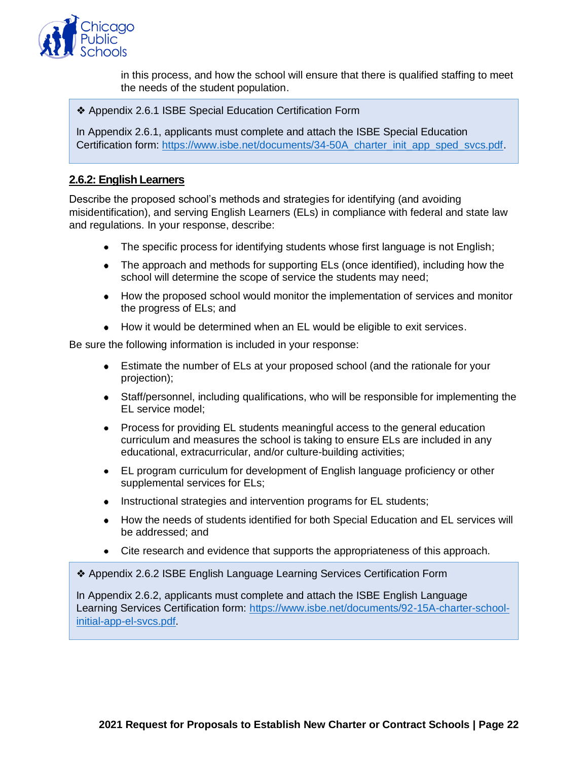

in this process, and how the school will ensure that there is qualified staffing to meet the needs of the student population.

❖ Appendix 2.6.1 ISBE Special Education Certification Form

In Appendix 2.6.1, applicants must complete and attach the ISBE Special Education Certification form: [https://www.isbe.net/documents/34-50A\\_charter\\_init\\_app\\_sped\\_svcs.pdf.](https://www.isbe.net/documents/34-50A_charter_init_app_sped_svcs.pdf)

#### **2.6.2: English Learners**

Describe the proposed school's methods and strategies for identifying (and avoiding misidentification), and serving English Learners (ELs) in compliance with federal and state law and regulations. In your response, describe:

- The specific process for identifying students whose first language is not English;
- The approach and methods for supporting ELs (once identified), including how the school will determine the scope of service the students may need;
- How the proposed school would monitor the implementation of services and monitor the progress of ELs; and
- How it would be determined when an EL would be eligible to exit services.

Be sure the following information is included in your response:

- Estimate the number of ELs at your proposed school (and the rationale for your projection);
- Staff/personnel, including qualifications, who will be responsible for implementing the EL service model;
- Process for providing EL students meaningful access to the general education curriculum and measures the school is taking to ensure ELs are included in any educational, extracurricular, and/or culture-building activities;
- EL program curriculum for development of English language proficiency or other supplemental services for ELs;
- Instructional strategies and intervention programs for EL students;
- How the needs of students identified for both Special Education and EL services will be addressed; and
- Cite research and evidence that supports the appropriateness of this approach.

❖ Appendix 2.6.2 ISBE English Language Learning Services Certification Form

In Appendix 2.6.2, applicants must complete and attach the ISBE English Language Learning Services Certification form: [https://www.isbe.net/documents/92-15A-charter-school](https://www.isbe.net/documents/92-15A-charter-school-initial-app-el-svcs.pdf)[initial-app-el-svcs.pdf.](https://www.isbe.net/documents/92-15A-charter-school-initial-app-el-svcs.pdf)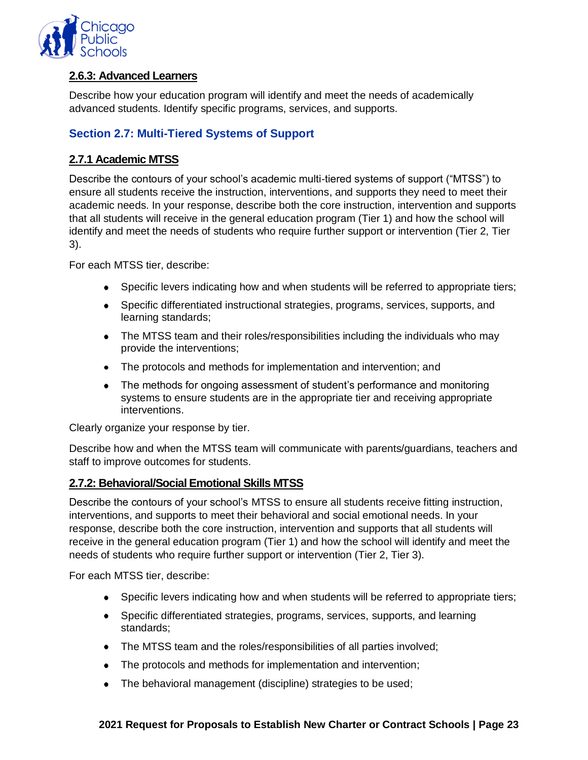

# **2.6.3: Advanced Learners**

Describe how your education program will identify and meet the needs of academically advanced students. Identify specific programs, services, and supports.

# **Section 2.7: Multi-Tiered Systems of Support**

# **2.7.1 Academic MTSS**

Describe the contours of your school's academic multi-tiered systems of support ("MTSS") to ensure all students receive the instruction, interventions, and supports they need to meet their academic needs. In your response, describe both the core instruction, intervention and supports that all students will receive in the general education program (Tier 1) and how the school will identify and meet the needs of students who require further support or intervention (Tier 2, Tier 3).

For each MTSS tier, describe:

- Specific levers indicating how and when students will be referred to appropriate tiers;
- Specific differentiated instructional strategies, programs, services, supports, and learning standards;
- The MTSS team and their roles/responsibilities including the individuals who may provide the interventions;
- The protocols and methods for implementation and intervention; and
- The methods for ongoing assessment of student's performance and monitoring systems to ensure students are in the appropriate tier and receiving appropriate interventions.

Clearly organize your response by tier.

Describe how and when the MTSS team will communicate with parents/guardians, teachers and staff to improve outcomes for students.

#### **2.7.2: Behavioral/Social Emotional Skills MTSS**

Describe the contours of your school's MTSS to ensure all students receive fitting instruction, interventions, and supports to meet their behavioral and social emotional needs. In your response, describe both the core instruction, intervention and supports that all students will receive in the general education program (Tier 1) and how the school will identify and meet the needs of students who require further support or intervention (Tier 2, Tier 3).

For each MTSS tier, describe:

- Specific levers indicating how and when students will be referred to appropriate tiers;
- Specific differentiated strategies, programs, services, supports, and learning standards;
- The MTSS team and the roles/responsibilities of all parties involved;
- The protocols and methods for implementation and intervention;
- The behavioral management (discipline) strategies to be used;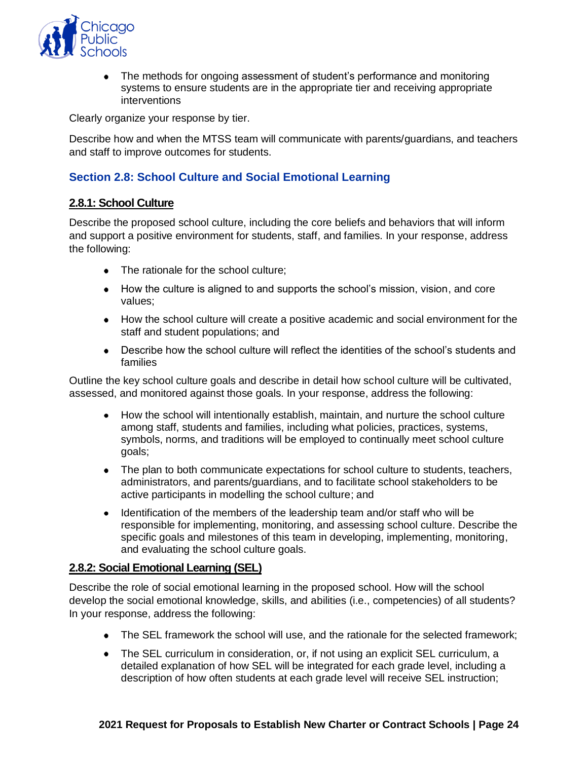

The methods for ongoing assessment of student's performance and monitoring  $\bullet$ systems to ensure students are in the appropriate tier and receiving appropriate interventions

Clearly organize your response by tier.

Describe how and when the MTSS team will communicate with parents/guardians, and teachers and staff to improve outcomes for students.

# **Section 2.8: School Culture and Social Emotional Learning**

#### **2.8.1: School Culture**

Describe the proposed school culture, including the core beliefs and behaviors that will inform and support a positive environment for students, staff, and families. In your response, address the following:

- The rationale for the school culture;
- How the culture is aligned to and supports the school's mission, vision, and core values;
- How the school culture will create a positive academic and social environment for the staff and student populations; and
- Describe how the school culture will reflect the identities of the school's students and families

Outline the key school culture goals and describe in detail how school culture will be cultivated, assessed, and monitored against those goals. In your response, address the following:

- How the school will intentionally establish, maintain, and nurture the school culture among staff, students and families, including what policies, practices, systems, symbols, norms, and traditions will be employed to continually meet school culture goals;
- The plan to both communicate expectations for school culture to students, teachers, administrators, and parents/guardians, and to facilitate school stakeholders to be active participants in modelling the school culture; and
- Identification of the members of the leadership team and/or staff who will be responsible for implementing, monitoring, and assessing school culture. Describe the specific goals and milestones of this team in developing, implementing, monitoring, and evaluating the school culture goals.

#### **2.8.2: Social Emotional Learning (SEL)**

Describe the role of social emotional learning in the proposed school. How will the school develop the social emotional knowledge, skills, and abilities (i.e., competencies) of all students? In your response, address the following:

- The SEL framework the school will use, and the rationale for the selected framework;
- The SEL curriculum in consideration, or, if not using an explicit SEL curriculum, a detailed explanation of how SEL will be integrated for each grade level, including a description of how often students at each grade level will receive SEL instruction;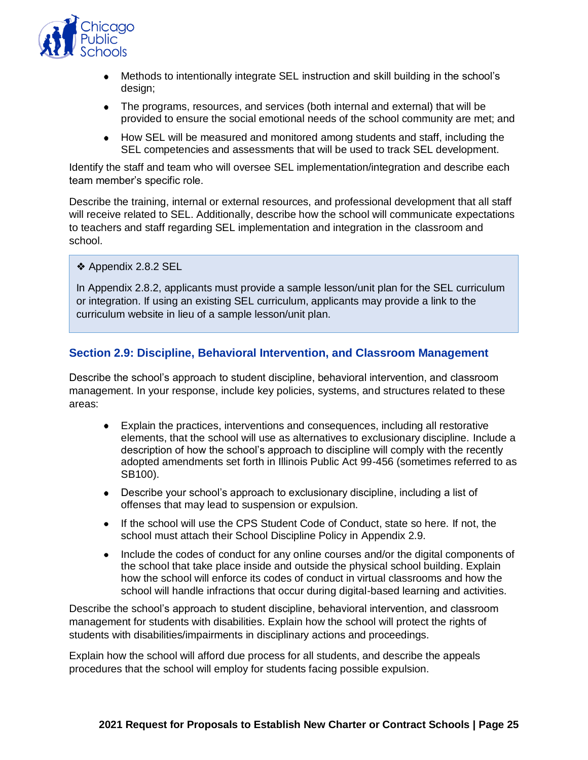

- Methods to intentionally integrate SEL instruction and skill building in the school's design;
- The programs, resources, and services (both internal and external) that will be provided to ensure the social emotional needs of the school community are met; and
- How SEL will be measured and monitored among students and staff, including the SEL competencies and assessments that will be used to track SEL development.

Identify the staff and team who will oversee SEL implementation/integration and describe each team member's specific role.

Describe the training, internal or external resources, and professional development that all staff will receive related to SEL. Additionally, describe how the school will communicate expectations to teachers and staff regarding SEL implementation and integration in the classroom and school.

❖ Appendix 2.8.2 SEL

In Appendix 2.8.2, applicants must provide a sample lesson/unit plan for the SEL curriculum or integration. If using an existing SEL curriculum, applicants may provide a link to the curriculum website in lieu of a sample lesson/unit plan.

#### **Section 2.9: Discipline, Behavioral Intervention, and Classroom Management**

Describe the school's approach to student discipline, behavioral intervention, and classroom management. In your response, include key policies, systems, and structures related to these areas:

- Explain the practices, interventions and consequences, including all restorative elements, that the school will use as alternatives to exclusionary discipline. Include a description of how the school's approach to discipline will comply with the recently adopted amendments set forth in Illinois Public Act 99-456 (sometimes referred to as SB100).
- Describe your school's approach to exclusionary discipline, including a list of offenses that may lead to suspension or expulsion.
- If the school will use the CPS Student Code of Conduct, state so here. If not, the school must attach their School Discipline Policy in Appendix 2.9.
- Include the codes of conduct for any online courses and/or the digital components of the school that take place inside and outside the physical school building. Explain how the school will enforce its codes of conduct in virtual classrooms and how the school will handle infractions that occur during digital-based learning and activities.

Describe the school's approach to student discipline, behavioral intervention, and classroom management for students with disabilities. Explain how the school will protect the rights of students with disabilities/impairments in disciplinary actions and proceedings.

Explain how the school will afford due process for all students, and describe the appeals procedures that the school will employ for students facing possible expulsion.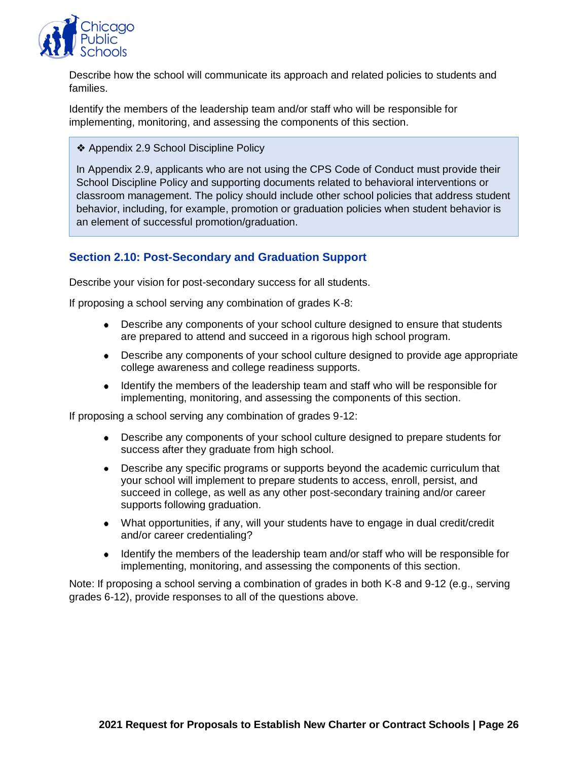

Describe how the school will communicate its approach and related policies to students and families.

Identify the members of the leadership team and/or staff who will be responsible for implementing, monitoring, and assessing the components of this section.

❖ Appendix 2.9 School Discipline Policy

In Appendix 2.9, applicants who are not using the CPS Code of Conduct must provide their School Discipline Policy and supporting documents related to behavioral interventions or classroom management. The policy should include other school policies that address student behavior, including, for example, promotion or graduation policies when student behavior is an element of successful promotion/graduation.

# **Section 2.10: Post-Secondary and Graduation Support**

Describe your vision for post-secondary success for all students.

If proposing a school serving any combination of grades K-8:

- Describe any components of your school culture designed to ensure that students are prepared to attend and succeed in a rigorous high school program.
- Describe any components of your school culture designed to provide age appropriate college awareness and college readiness supports.
- Identify the members of the leadership team and staff who will be responsible for implementing, monitoring, and assessing the components of this section.

If proposing a school serving any combination of grades 9-12:

- Describe any components of your school culture designed to prepare students for success after they graduate from high school.
- Describe any specific programs or supports beyond the academic curriculum that your school will implement to prepare students to access, enroll, persist, and succeed in college, as well as any other post-secondary training and/or career supports following graduation.
- What opportunities, if any, will your students have to engage in dual credit/credit and/or career credentialing?
- Identify the members of the leadership team and/or staff who will be responsible for implementing, monitoring, and assessing the components of this section.

Note: If proposing a school serving a combination of grades in both K-8 and 9-12 (e.g., serving grades 6-12), provide responses to all of the questions above.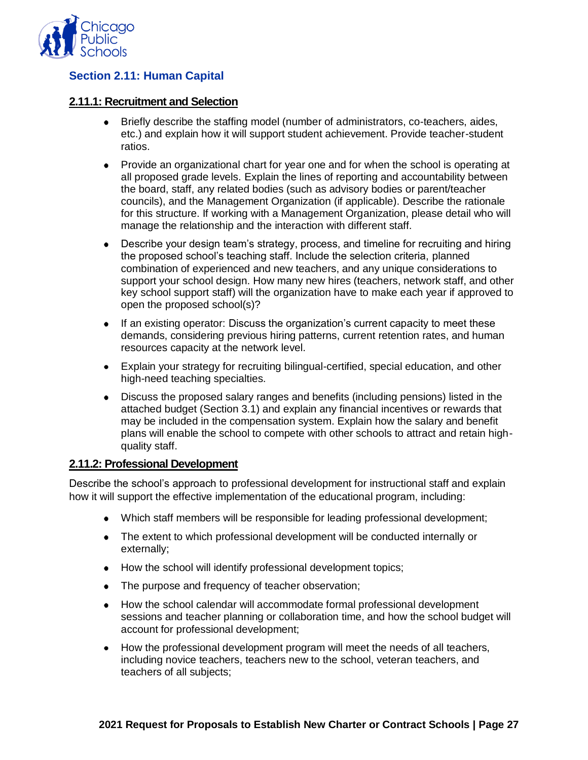

# **Section 2.11: Human Capital**

#### **2.11.1: Recruitment and Selection**

- Briefly describe the staffing model (number of administrators, co-teachers, aides, etc.) and explain how it will support student achievement. Provide teacher-student ratios.
- Provide an organizational chart for year one and for when the school is operating at all proposed grade levels. Explain the lines of reporting and accountability between the board, staff, any related bodies (such as advisory bodies or parent/teacher councils), and the Management Organization (if applicable). Describe the rationale for this structure. If working with a Management Organization, please detail who will manage the relationship and the interaction with different staff.
- Describe your design team's strategy, process, and timeline for recruiting and hiring the proposed school's teaching staff. Include the selection criteria, planned combination of experienced and new teachers, and any unique considerations to support your school design. How many new hires (teachers, network staff, and other key school support staff) will the organization have to make each year if approved to open the proposed school(s)?
- If an existing operator: Discuss the organization's current capacity to meet these demands, considering previous hiring patterns, current retention rates, and human resources capacity at the network level.
- Explain your strategy for recruiting bilingual-certified, special education, and other high-need teaching specialties.
- Discuss the proposed salary ranges and benefits (including pensions) listed in the attached budget (Section 3.1) and explain any financial incentives or rewards that may be included in the compensation system. Explain how the salary and benefit plans will enable the school to compete with other schools to attract and retain highquality staff.

#### **2.11.2: Professional Development**

Describe the school's approach to professional development for instructional staff and explain how it will support the effective implementation of the educational program, including:

- Which staff members will be responsible for leading professional development;
- The extent to which professional development will be conducted internally or externally;
- How the school will identify professional development topics;
- The purpose and frequency of teacher observation;
- How the school calendar will accommodate formal professional development sessions and teacher planning or collaboration time, and how the school budget will account for professional development;
- $\bullet$ How the professional development program will meet the needs of all teachers, including novice teachers, teachers new to the school, veteran teachers, and teachers of all subjects;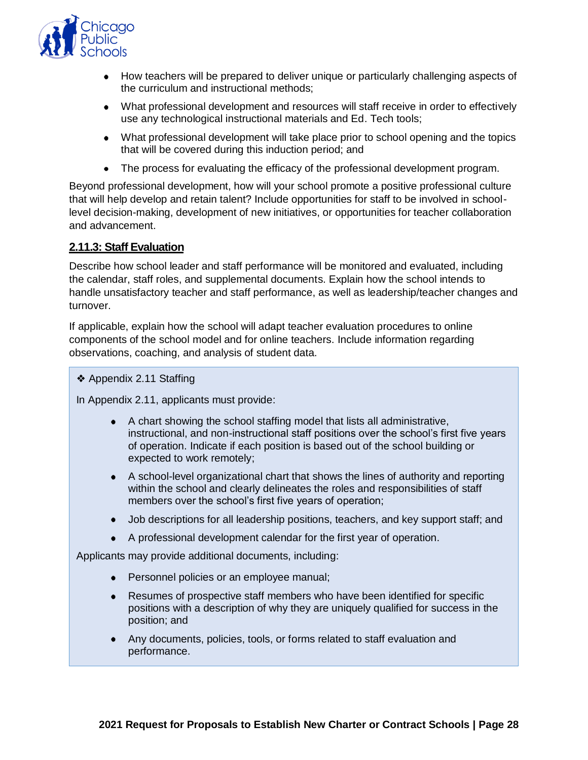

- How teachers will be prepared to deliver unique or particularly challenging aspects of the curriculum and instructional methods;
- What professional development and resources will staff receive in order to effectively use any technological instructional materials and Ed. Tech tools;
- What professional development will take place prior to school opening and the topics that will be covered during this induction period; and
- The process for evaluating the efficacy of the professional development program.

Beyond professional development, how will your school promote a positive professional culture that will help develop and retain talent? Include opportunities for staff to be involved in schoollevel decision-making, development of new initiatives, or opportunities for teacher collaboration and advancement.

#### **2.11.3: Staff Evaluation**

Describe how school leader and staff performance will be monitored and evaluated, including the calendar, staff roles, and supplemental documents. Explain how the school intends to handle unsatisfactory teacher and staff performance, as well as leadership/teacher changes and turnover.

If applicable, explain how the school will adapt teacher evaluation procedures to online components of the school model and for online teachers. Include information regarding observations, coaching, and analysis of student data.

❖ Appendix 2.11 Staffing

In Appendix 2.11, applicants must provide:

- A chart showing the school staffing model that lists all administrative, instructional, and non-instructional staff positions over the school's first five years of operation. Indicate if each position is based out of the school building or expected to work remotely;
- A school-level organizational chart that shows the lines of authority and reporting within the school and clearly delineates the roles and responsibilities of staff members over the school's first five years of operation;
- Job descriptions for all leadership positions, teachers, and key support staff; and
- A professional development calendar for the first year of operation.

Applicants may provide additional documents, including:

- Personnel policies or an employee manual;
- Resumes of prospective staff members who have been identified for specific positions with a description of why they are uniquely qualified for success in the position; and
- Any documents, policies, tools, or forms related to staff evaluation and performance.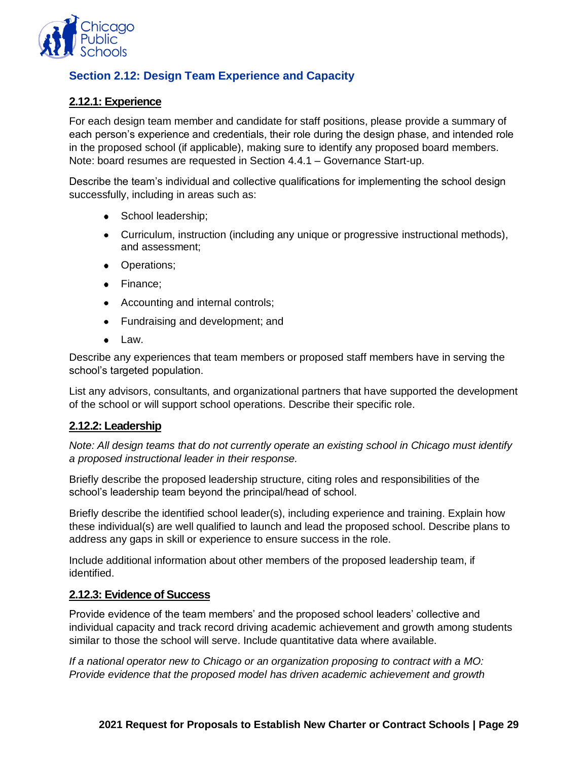

# **Section 2.12: Design Team Experience and Capacity**

# **2.12.1: Experience**

For each design team member and candidate for staff positions, please provide a summary of each person's experience and credentials, their role during the design phase, and intended role in the proposed school (if applicable), making sure to identify any proposed board members. Note: board resumes are requested in Section 4.4.1 – Governance Start-up.

Describe the team's individual and collective qualifications for implementing the school design successfully, including in areas such as:

- School leadership;
- Curriculum, instruction (including any unique or progressive instructional methods), and assessment;
- Operations;
- Finance:
- Accounting and internal controls;
- Fundraising and development; and
- Law.

Describe any experiences that team members or proposed staff members have in serving the school's targeted population.

List any advisors, consultants, and organizational partners that have supported the development of the school or will support school operations. Describe their specific role.

#### **2.12.2: Leadership**

*Note: All design teams that do not currently operate an existing school in Chicago must identify a proposed instructional leader in their response.*

Briefly describe the proposed leadership structure, citing roles and responsibilities of the school's leadership team beyond the principal/head of school.

Briefly describe the identified school leader(s), including experience and training. Explain how these individual(s) are well qualified to launch and lead the proposed school. Describe plans to address any gaps in skill or experience to ensure success in the role.

Include additional information about other members of the proposed leadership team, if identified.

#### **2.12.3: Evidence of Success**

Provide evidence of the team members' and the proposed school leaders' collective and individual capacity and track record driving academic achievement and growth among students similar to those the school will serve. Include quantitative data where available.

*If a national operator new to Chicago or an organization proposing to contract with a MO: Provide evidence that the proposed model has driven academic achievement and growth*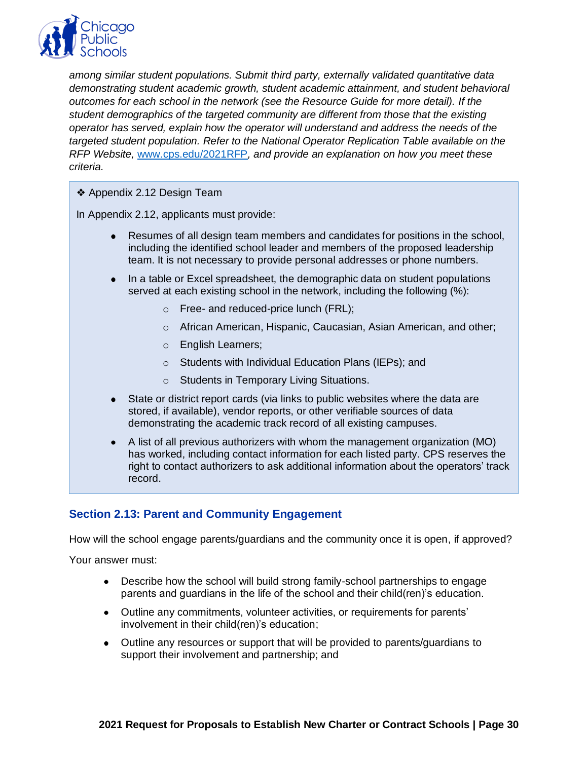

*among similar student populations. Submit third party, externally validated quantitative data demonstrating student academic growth, student academic attainment, and student behavioral outcomes for each school in the network (see the Resource Guide for more detail). If the student demographics of the targeted community are different from those that the existing operator has served, explain how the operator will understand and address the needs of the targeted student population. Refer to the National Operator Replication Table available on the RFP Website,* [www.cps.edu/2021RFP](http://www.cps.edu/2021RFP)*, and provide an explanation on how you meet these criteria.*

❖ Appendix 2.12 Design Team

In Appendix 2.12, applicants must provide:

- Resumes of all design team members and candidates for positions in the school, including the identified school leader and members of the proposed leadership team. It is not necessary to provide personal addresses or phone numbers.
- In a table or Excel spreadsheet, the demographic data on student populations served at each existing school in the network, including the following (%):
	- o Free- and reduced-price lunch (FRL);
	- o African American, Hispanic, Caucasian, Asian American, and other;
	- o English Learners;
	- o Students with Individual Education Plans (IEPs); and
	- o Students in Temporary Living Situations.
- State or district report cards (via links to public websites where the data are stored, if available), vendor reports, or other verifiable sources of data demonstrating the academic track record of all existing campuses.
- A list of all previous authorizers with whom the management organization (MO) has worked, including contact information for each listed party. CPS reserves the right to contact authorizers to ask additional information about the operators' track record.

#### **Section 2.13: Parent and Community Engagement**

How will the school engage parents/guardians and the community once it is open, if approved?

Your answer must:

- Describe how the school will build strong family-school partnerships to engage parents and guardians in the life of the school and their child(ren)'s education.
- Outline any commitments, volunteer activities, or requirements for parents' involvement in their child(ren)'s education;
- Outline any resources or support that will be provided to parents/guardians to support their involvement and partnership; and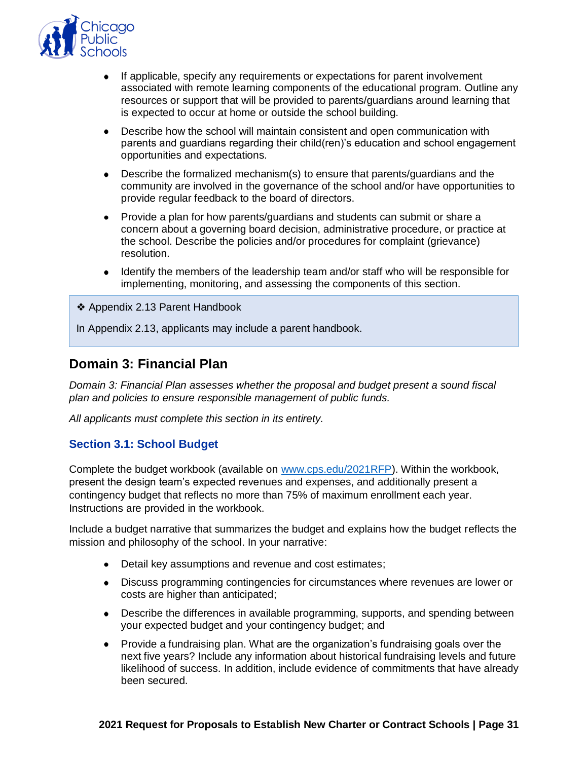

- If applicable, specify any requirements or expectations for parent involvement associated with remote learning components of the educational program. Outline any resources or support that will be provided to parents/guardians around learning that is expected to occur at home or outside the school building.
- Describe how the school will maintain consistent and open communication with parents and guardians regarding their child(ren)'s education and school engagement opportunities and expectations.
- Describe the formalized mechanism(s) to ensure that parents/guardians and the community are involved in the governance of the school and/or have opportunities to provide regular feedback to the board of directors.
- Provide a plan for how parents/guardians and students can submit or share a concern about a governing board decision, administrative procedure, or practice at the school. Describe the policies and/or procedures for complaint (grievance) resolution.
- Identify the members of the leadership team and/or staff who will be responsible for implementing, monitoring, and assessing the components of this section.
- ❖ Appendix 2.13 Parent Handbook

In Appendix 2.13, applicants may include a parent handbook.

# <span id="page-32-0"></span>**Domain 3: Financial Plan**

*Domain 3: Financial Plan assesses whether the proposal and budget present a sound fiscal plan and policies to ensure responsible management of public funds.*

*All applicants must complete this section in its entirety.*

#### **Section 3.1: School Budget**

Complete the budget workbook (available on [www.cps.edu/2021RFP\)](http://www.cps.edu/2021RFP). Within the workbook, present the design team's expected revenues and expenses, and additionally present a contingency budget that reflects no more than 75% of maximum enrollment each year. Instructions are provided in the workbook.

Include a budget narrative that summarizes the budget and explains how the budget reflects the mission and philosophy of the school. In your narrative:

- Detail key assumptions and revenue and cost estimates;
- Discuss programming contingencies for circumstances where revenues are lower or costs are higher than anticipated;
- Describe the differences in available programming, supports, and spending between your expected budget and your contingency budget; and
- Provide a fundraising plan. What are the organization's fundraising goals over the next five years? Include any information about historical fundraising levels and future likelihood of success. In addition, include evidence of commitments that have already been secured.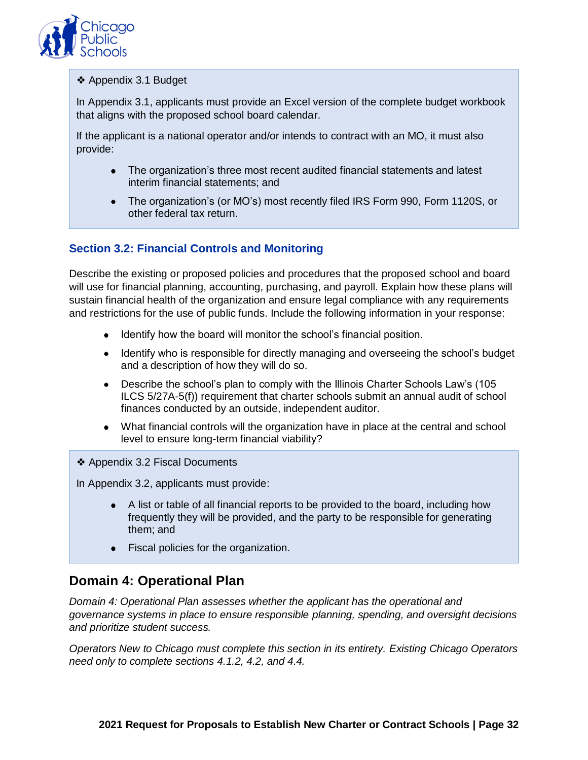

#### ❖ Appendix 3.1 Budget

In Appendix 3.1, applicants must provide an Excel version of the complete budget workbook that aligns with the proposed school board calendar.

If the applicant is a national operator and/or intends to contract with an MO, it must also provide:

- The organization's three most recent audited financial statements and latest interim financial statements; and
- The organization's (or MO's) most recently filed IRS Form 990, Form 1120S, or other federal tax return.

# **Section 3.2: Financial Controls and Monitoring**

Describe the existing or proposed policies and procedures that the proposed school and board will use for financial planning, accounting, purchasing, and payroll. Explain how these plans will sustain financial health of the organization and ensure legal compliance with any requirements and restrictions for the use of public funds. Include the following information in your response:

- Identify how the board will monitor the school's financial position.
- Identify who is responsible for directly managing and overseeing the school's budget and a description of how they will do so.
- Describe the school's plan to comply with the Illinois Charter Schools Law's (105 ILCS 5/27A-5(f)) requirement that charter schools submit an annual audit of school finances conducted by an outside, independent auditor.
- What financial controls will the organization have in place at the central and school level to ensure long-term financial viability?
- ❖ Appendix 3.2 Fiscal Documents

In Appendix 3.2, applicants must provide:

- A list or table of all financial reports to be provided to the board, including how frequently they will be provided, and the party to be responsible for generating them; and
- Fiscal policies for the organization.

# <span id="page-33-0"></span>**Domain 4: Operational Plan**

*Domain 4: Operational Plan assesses whether the applicant has the operational and governance systems in place to ensure responsible planning, spending, and oversight decisions and prioritize student success.* 

*Operators New to Chicago must complete this section in its entirety. Existing Chicago Operators need only to complete sections 4.1.2, 4.2, and 4.4.*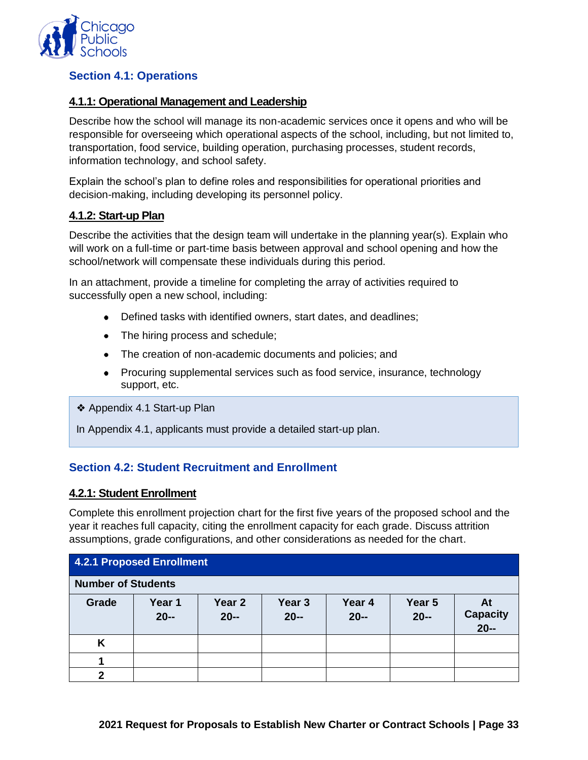

# **Section 4.1: Operations**

#### **4.1.1: Operational Management and Leadership**

Describe how the school will manage its non-academic services once it opens and who will be responsible for overseeing which operational aspects of the school, including, but not limited to, transportation, food service, building operation, purchasing processes, student records, information technology, and school safety.

Explain the school's plan to define roles and responsibilities for operational priorities and decision-making, including developing its personnel policy.

#### **4.1.2: Start-up Plan**

Describe the activities that the design team will undertake in the planning year(s). Explain who will work on a full-time or part-time basis between approval and school opening and how the school/network will compensate these individuals during this period.

In an attachment, provide a timeline for completing the array of activities required to successfully open a new school, including:

- Defined tasks with identified owners, start dates, and deadlines;
- The hiring process and schedule;
- The creation of non-academic documents and policies; and
- Procuring supplemental services such as food service, insurance, technology support, etc.

❖ Appendix 4.1 Start-up Plan

In Appendix 4.1, applicants must provide a detailed start-up plan.

#### **Section 4.2: Student Recruitment and Enrollment**

#### **4.2.1: Student Enrollment**

Complete this enrollment projection chart for the first five years of the proposed school and the year it reaches full capacity, citing the enrollment capacity for each grade. Discuss attrition assumptions, grade configurations, and other considerations as needed for the chart.

| <b>4.2.1 Proposed Enrollment</b> |                  |                             |                             |                  |                  |                                 |  |  |
|----------------------------------|------------------|-----------------------------|-----------------------------|------------------|------------------|---------------------------------|--|--|
| <b>Number of Students</b>        |                  |                             |                             |                  |                  |                                 |  |  |
| Grade                            | Year 1<br>$20 -$ | Year <sub>2</sub><br>$20 -$ | Year <sub>3</sub><br>$20 -$ | Year 4<br>$20 -$ | Year 5<br>$20 -$ | At<br><b>Capacity</b><br>$20 -$ |  |  |
| K                                |                  |                             |                             |                  |                  |                                 |  |  |
|                                  |                  |                             |                             |                  |                  |                                 |  |  |
| ּמ                               |                  |                             |                             |                  |                  |                                 |  |  |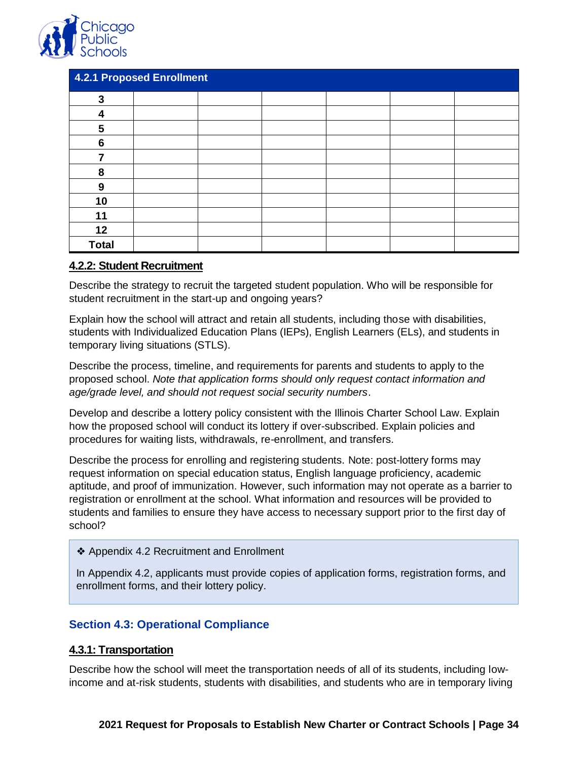

| <b>4.2.1 Proposed Enrollment</b> |  |  |  |  |  |  |  |
|----------------------------------|--|--|--|--|--|--|--|
| 3                                |  |  |  |  |  |  |  |
| 4                                |  |  |  |  |  |  |  |
| 5                                |  |  |  |  |  |  |  |
| 6                                |  |  |  |  |  |  |  |
|                                  |  |  |  |  |  |  |  |
| 8                                |  |  |  |  |  |  |  |
| 9                                |  |  |  |  |  |  |  |
| 10                               |  |  |  |  |  |  |  |
| 11                               |  |  |  |  |  |  |  |
| 12                               |  |  |  |  |  |  |  |
| <b>Total</b>                     |  |  |  |  |  |  |  |

#### **4.2.2: Student Recruitment**

Describe the strategy to recruit the targeted student population. Who will be responsible for student recruitment in the start-up and ongoing years?

Explain how the school will attract and retain all students, including those with disabilities, students with Individualized Education Plans (IEPs), English Learners (ELs), and students in temporary living situations (STLS).

Describe the process, timeline, and requirements for parents and students to apply to the proposed school. *Note that application forms should only request contact information and age/grade level, and should not request social security numbers*.

Develop and describe a lottery policy consistent with the Illinois Charter School Law. Explain how the proposed school will conduct its lottery if over-subscribed. Explain policies and procedures for waiting lists, withdrawals, re-enrollment, and transfers.

Describe the process for enrolling and registering students. Note: post-lottery forms may request information on special education status, English language proficiency, academic aptitude, and proof of immunization. However, such information may not operate as a barrier to registration or enrollment at the school. What information and resources will be provided to students and families to ensure they have access to necessary support prior to the first day of school?

#### ❖ Appendix 4.2 Recruitment and Enrollment

In Appendix 4.2, applicants must provide copies of application forms, registration forms, and enrollment forms, and their lottery policy.

#### **Section 4.3: Operational Compliance**

#### **4.3.1: Transportation**

Describe how the school will meet the transportation needs of all of its students, including lowincome and at-risk students, students with disabilities, and students who are in temporary living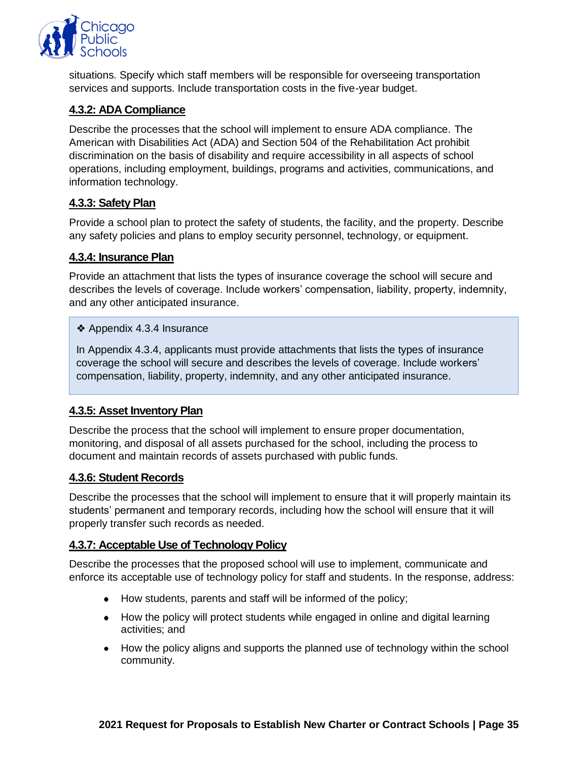

situations. Specify which staff members will be responsible for overseeing transportation services and supports. Include transportation costs in the five-year budget.

#### **4.3.2: ADA Compliance**

Describe the processes that the school will implement to ensure ADA compliance. The American with Disabilities Act (ADA) and Section 504 of the Rehabilitation Act prohibit discrimination on the basis of disability and require accessibility in all aspects of school operations, including employment, buildings, programs and activities, communications, and information technology.

# **4.3.3: Safety Plan**

Provide a school plan to protect the safety of students, the facility, and the property. Describe any safety policies and plans to employ security personnel, technology, or equipment.

# **4.3.4: Insurance Plan**

Provide an attachment that lists the types of insurance coverage the school will secure and describes the levels of coverage. Include workers' compensation, liability, property, indemnity, and any other anticipated insurance.

#### ❖ Appendix 4.3.4 Insurance

In Appendix 4.3.4, applicants must provide attachments that lists the types of insurance coverage the school will secure and describes the levels of coverage. Include workers' compensation, liability, property, indemnity, and any other anticipated insurance.

# **4.3.5: Asset Inventory Plan**

Describe the process that the school will implement to ensure proper documentation, monitoring, and disposal of all assets purchased for the school, including the process to document and maintain records of assets purchased with public funds.

#### **4.3.6: Student Records**

Describe the processes that the school will implement to ensure that it will properly maintain its students' permanent and temporary records, including how the school will ensure that it will properly transfer such records as needed.

#### **4.3.7: Acceptable Use of Technology Policy**

Describe the processes that the proposed school will use to implement, communicate and enforce its acceptable use of technology policy for staff and students. In the response, address:

- How students, parents and staff will be informed of the policy;
- How the policy will protect students while engaged in online and digital learning activities; and
- How the policy aligns and supports the planned use of technology within the school community.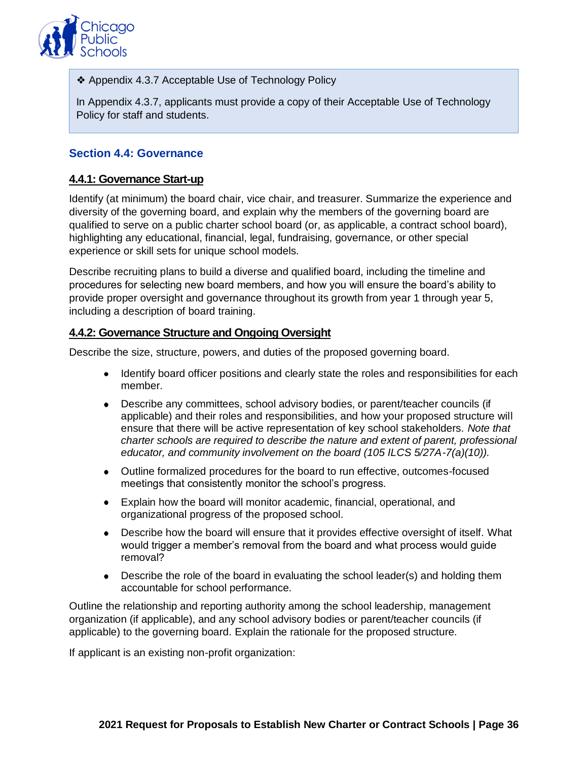

❖ Appendix 4.3.7 Acceptable Use of Technology Policy

In Appendix 4.3.7, applicants must provide a copy of their Acceptable Use of Technology Policy for staff and students.

# **Section 4.4: Governance**

#### **4.4.1: Governance Start-up**

Identify (at minimum) the board chair, vice chair, and treasurer. Summarize the experience and diversity of the governing board, and explain why the members of the governing board are qualified to serve on a public charter school board (or, as applicable, a contract school board), highlighting any educational, financial, legal, fundraising, governance, or other special experience or skill sets for unique school models.

Describe recruiting plans to build a diverse and qualified board, including the timeline and procedures for selecting new board members, and how you will ensure the board's ability to provide proper oversight and governance throughout its growth from year 1 through year 5, including a description of board training.

#### **4.4.2: Governance Structure and Ongoing Oversight**

Describe the size, structure, powers, and duties of the proposed governing board.

- Identify board officer positions and clearly state the roles and responsibilities for each member.
- Describe any committees, school advisory bodies, or parent/teacher councils (if applicable) and their roles and responsibilities, and how your proposed structure will ensure that there will be active representation of key school stakeholders. *Note that charter schools are required to describe the nature and extent of parent, professional educator, and community involvement on the board (105 ILCS 5/27A-7(a)(10)).*
- Outline formalized procedures for the board to run effective, outcomes-focused meetings that consistently monitor the school's progress.
- Explain how the board will monitor academic, financial, operational, and organizational progress of the proposed school.
- Describe how the board will ensure that it provides effective oversight of itself. What would trigger a member's removal from the board and what process would guide removal?
- Describe the role of the board in evaluating the school leader(s) and holding them accountable for school performance.

Outline the relationship and reporting authority among the school leadership, management organization (if applicable), and any school advisory bodies or parent/teacher councils (if applicable) to the governing board. Explain the rationale for the proposed structure.

If applicant is an existing non-profit organization: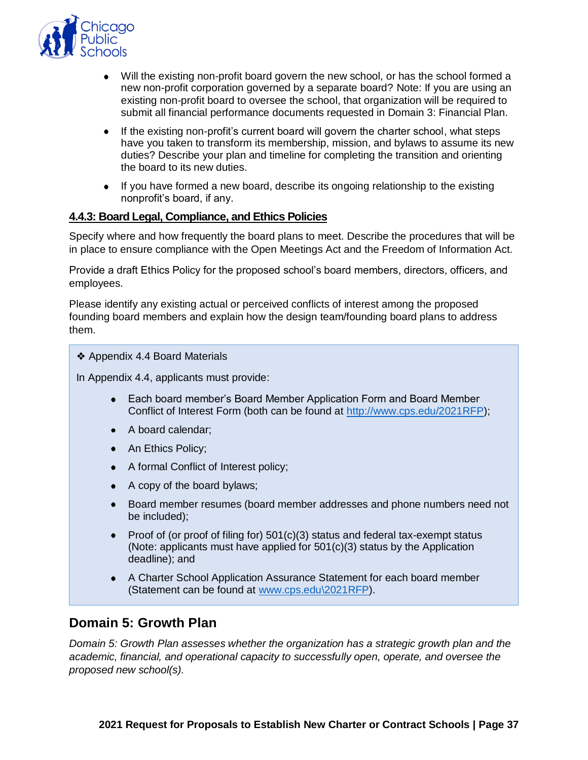

- Will the existing non-profit board govern the new school, or has the school formed a new non-profit corporation governed by a separate board? Note: If you are using an existing non-profit board to oversee the school, that organization will be required to submit all financial performance documents requested in Domain 3: Financial Plan.
- If the existing non-profit's current board will govern the charter school, what steps have you taken to transform its membership, mission, and bylaws to assume its new duties? Describe your plan and timeline for completing the transition and orienting the board to its new duties.
- If you have formed a new board, describe its ongoing relationship to the existing nonprofit's board, if any.

#### **4.4.3: Board Legal, Compliance, and Ethics Policies**

Specify where and how frequently the board plans to meet. Describe the procedures that will be in place to ensure compliance with the Open Meetings Act and the Freedom of Information Act.

Provide a draft Ethics Policy for the proposed school's board members, directors, officers, and employees.

Please identify any existing actual or perceived conflicts of interest among the proposed founding board members and explain how the design team/founding board plans to address them.

#### ❖ Appendix 4.4 Board Materials

In Appendix 4.4, applicants must provide:

- Each board member's Board Member Application Form and Board Member Conflict of Interest Form (both can be found at [http://www.cps.edu/2021RFP\)](http://www.cps.edu/2021RFP);
- A board calendar:
- An Ethics Policy;
- A formal Conflict of Interest policy;
- A copy of the board bylaws;
- Board member resumes (board member addresses and phone numbers need not be included);
- Proof of (or proof of filing for)  $501(c)(3)$  status and federal tax-exempt status (Note: applicants must have applied for 501(c)(3) status by the Application deadline); and
- A Charter School Application Assurance Statement for each board member (Statement can be found at [www.cps.edu\2021RFP\)](http://www.cps.edu/2021RFP).

#### <span id="page-38-0"></span>**Domain 5: Growth Plan**

*Domain 5: Growth Plan assesses whether the organization has a strategic growth plan and the academic, financial, and operational capacity to successfully open, operate, and oversee the proposed new school(s).*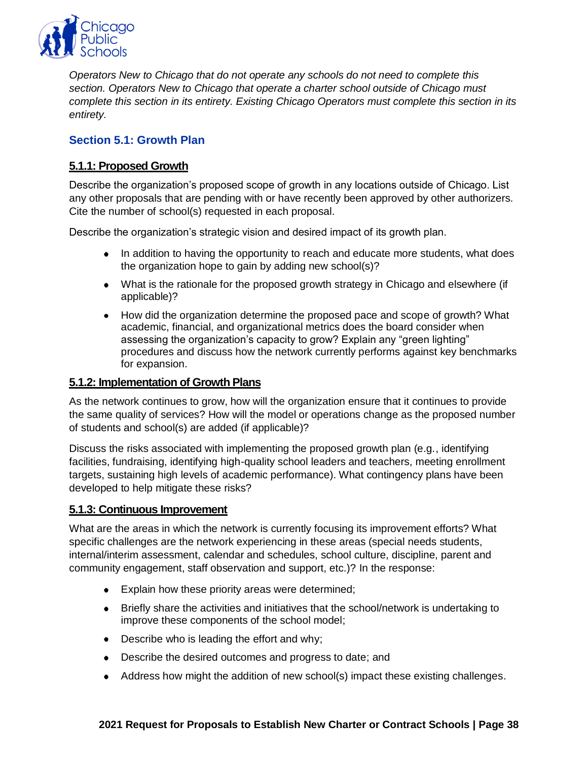

*Operators New to Chicago that do not operate any schools do not need to complete this section. Operators New to Chicago that operate a charter school outside of Chicago must complete this section in its entirety. Existing Chicago Operators must complete this section in its entirety.* 

# **Section 5.1: Growth Plan**

# **5.1.1: Proposed Growth**

Describe the organization's proposed scope of growth in any locations outside of Chicago. List any other proposals that are pending with or have recently been approved by other authorizers. Cite the number of school(s) requested in each proposal.

Describe the organization's strategic vision and desired impact of its growth plan.

- In addition to having the opportunity to reach and educate more students, what does the organization hope to gain by adding new school(s)?
- What is the rationale for the proposed growth strategy in Chicago and elsewhere (if applicable)?
- How did the organization determine the proposed pace and scope of growth? What academic, financial, and organizational metrics does the board consider when assessing the organization's capacity to grow? Explain any "green lighting" procedures and discuss how the network currently performs against key benchmarks for expansion.

#### **5.1.2: Implementation of Growth Plans**

As the network continues to grow, how will the organization ensure that it continues to provide the same quality of services? How will the model or operations change as the proposed number of students and school(s) are added (if applicable)?

Discuss the risks associated with implementing the proposed growth plan (e.g., identifying facilities, fundraising, identifying high-quality school leaders and teachers, meeting enrollment targets, sustaining high levels of academic performance). What contingency plans have been developed to help mitigate these risks?

#### **5.1.3: Continuous Improvement**

What are the areas in which the network is currently focusing its improvement efforts? What specific challenges are the network experiencing in these areas (special needs students, internal/interim assessment, calendar and schedules, school culture, discipline, parent and community engagement, staff observation and support, etc.)? In the response:

- **Explain how these priority areas were determined;**
- Briefly share the activities and initiatives that the school/network is undertaking to improve these components of the school model;
- Describe who is leading the effort and why;
- Describe the desired outcomes and progress to date; and
- Address how might the addition of new school(s) impact these existing challenges.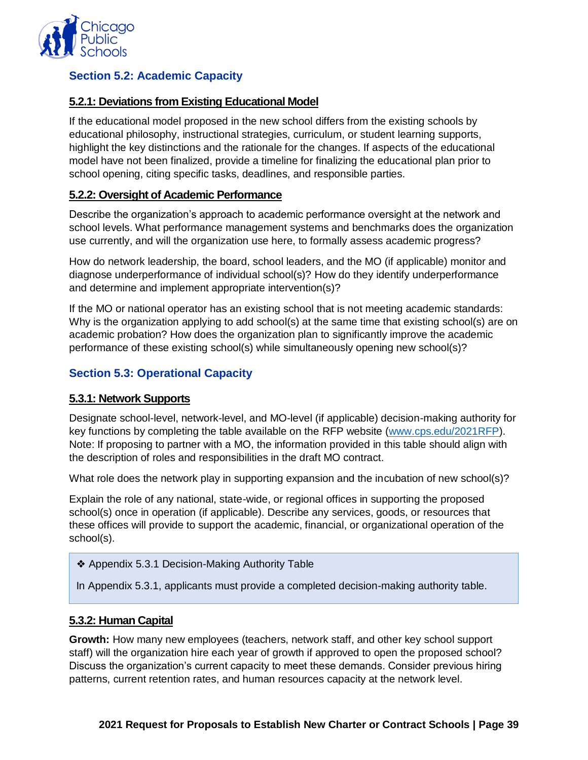

# **Section 5.2: Academic Capacity**

### **5.2.1: Deviations from Existing Educational Model**

If the educational model proposed in the new school differs from the existing schools by educational philosophy, instructional strategies, curriculum, or student learning supports, highlight the key distinctions and the rationale for the changes. If aspects of the educational model have not been finalized, provide a timeline for finalizing the educational plan prior to school opening, citing specific tasks, deadlines, and responsible parties.

#### **5.2.2: Oversight of Academic Performance**

Describe the organization's approach to academic performance oversight at the network and school levels. What performance management systems and benchmarks does the organization use currently, and will the organization use here, to formally assess academic progress?

How do network leadership, the board, school leaders, and the MO (if applicable) monitor and diagnose underperformance of individual school(s)? How do they identify underperformance and determine and implement appropriate intervention(s)?

If the MO or national operator has an existing school that is not meeting academic standards: Why is the organization applying to add school(s) at the same time that existing school(s) are on academic probation? How does the organization plan to significantly improve the academic performance of these existing school(s) while simultaneously opening new school(s)?

# **Section 5.3: Operational Capacity**

#### **5.3.1: Network Supports**

Designate school-level, network-level, and MO-level (if applicable) decision-making authority for key functions by completing the table available on the RFP website [\(www.cps.edu/2021RFP\)](http://www.cps.edu/2021RFP). Note: If proposing to partner with a MO, the information provided in this table should align with the description of roles and responsibilities in the draft MO contract.

What role does the network play in supporting expansion and the incubation of new school(s)?

Explain the role of any national, state-wide, or regional offices in supporting the proposed school(s) once in operation (if applicable). Describe any services, goods, or resources that these offices will provide to support the academic, financial, or organizational operation of the school(s).

❖ Appendix 5.3.1 Decision-Making Authority Table

In Appendix 5.3.1, applicants must provide a completed decision-making authority table.

#### **5.3.2: Human Capital**

**Growth:** How many new employees (teachers, network staff, and other key school support staff) will the organization hire each year of growth if approved to open the proposed school? Discuss the organization's current capacity to meet these demands. Consider previous hiring patterns, current retention rates, and human resources capacity at the network level.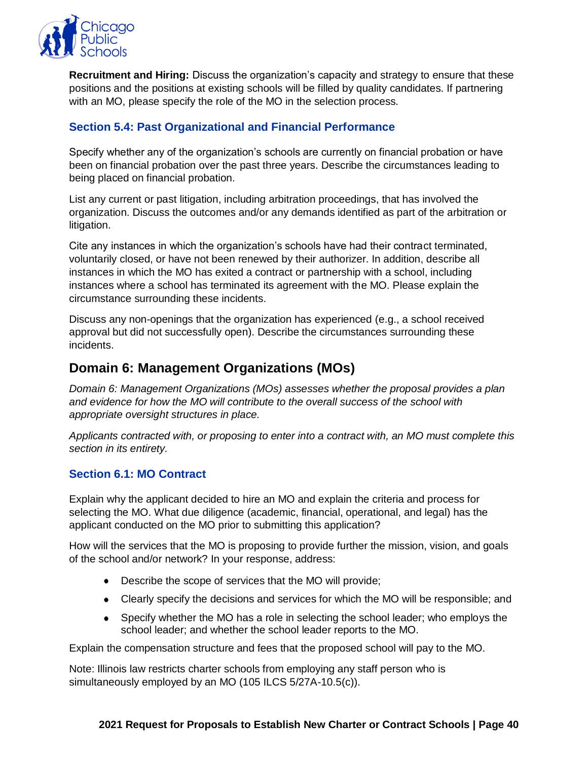

**Recruitment and Hiring:** Discuss the organization's capacity and strategy to ensure that these positions and the positions at existing schools will be filled by quality candidates. If partnering with an MO, please specify the role of the MO in the selection process.

# **Section 5.4: Past Organizational and Financial Performance**

Specify whether any of the organization's schools are currently on financial probation or have been on financial probation over the past three years. Describe the circumstances leading to being placed on financial probation.

List any current or past litigation, including arbitration proceedings, that has involved the organization. Discuss the outcomes and/or any demands identified as part of the arbitration or litigation.

Cite any instances in which the organization's schools have had their contract terminated, voluntarily closed, or have not been renewed by their authorizer. In addition, describe all instances in which the MO has exited a contract or partnership with a school, including instances where a school has terminated its agreement with the MO. Please explain the circumstance surrounding these incidents.

Discuss any non-openings that the organization has experienced (e.g., a school received approval but did not successfully open). Describe the circumstances surrounding these incidents.

# <span id="page-41-0"></span>**Domain 6: Management Organizations (MOs)**

*Domain 6: Management Organizations (MOs) assesses whether the proposal provides a plan and evidence for how the MO will contribute to the overall success of the school with appropriate oversight structures in place.* 

*Applicants contracted with, or proposing to enter into a contract with, an MO must complete this section in its entirety.* 

#### **Section 6.1: MO Contract**

Explain why the applicant decided to hire an MO and explain the criteria and process for selecting the MO. What due diligence (academic, financial, operational, and legal) has the applicant conducted on the MO prior to submitting this application?

How will the services that the MO is proposing to provide further the mission, vision, and goals of the school and/or network? In your response, address:

- Describe the scope of services that the MO will provide;
- Clearly specify the decisions and services for which the MO will be responsible; and
- Specify whether the MO has a role in selecting the school leader; who employs the school leader; and whether the school leader reports to the MO.

Explain the compensation structure and fees that the proposed school will pay to the MO.

Note: Illinois law restricts charter schools from employing any staff person who is simultaneously employed by an MO (105 ILCS 5/27A-10.5(c)).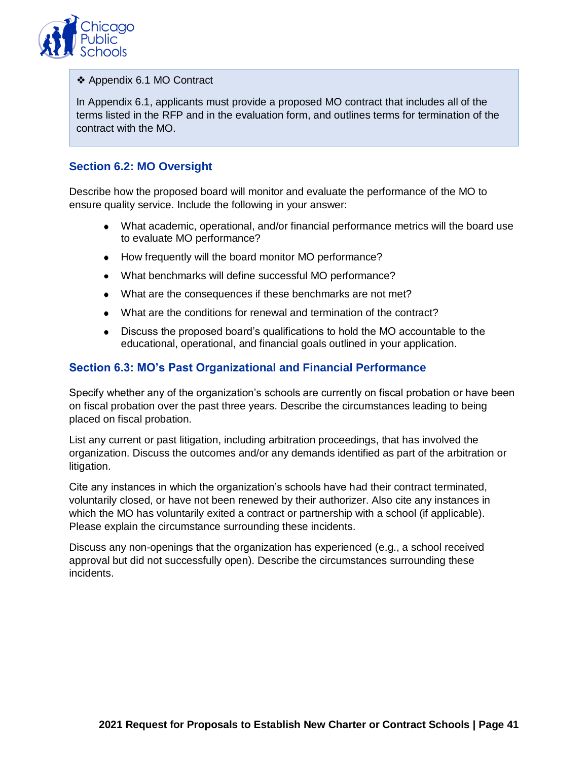

❖ Appendix 6.1 MO Contract

In Appendix 6.1, applicants must provide a proposed MO contract that includes all of the terms listed in the RFP and in the evaluation form, and outlines terms for termination of the contract with the MO.

#### **Section 6.2: MO Oversight**

Describe how the proposed board will monitor and evaluate the performance of the MO to ensure quality service. Include the following in your answer:

- What academic, operational, and/or financial performance metrics will the board use to evaluate MO performance?
- How frequently will the board monitor MO performance?
- What benchmarks will define successful MO performance?
- What are the consequences if these benchmarks are not met?
- What are the conditions for renewal and termination of the contract?
- Discuss the proposed board's qualifications to hold the MO accountable to the educational, operational, and financial goals outlined in your application.

#### **Section 6.3: MO's Past Organizational and Financial Performance**

Specify whether any of the organization's schools are currently on fiscal probation or have been on fiscal probation over the past three years. Describe the circumstances leading to being placed on fiscal probation.

List any current or past litigation, including arbitration proceedings, that has involved the organization. Discuss the outcomes and/or any demands identified as part of the arbitration or litigation.

Cite any instances in which the organization's schools have had their contract terminated, voluntarily closed, or have not been renewed by their authorizer. Also cite any instances in which the MO has voluntarily exited a contract or partnership with a school (if applicable). Please explain the circumstance surrounding these incidents.

Discuss any non-openings that the organization has experienced (e.g., a school received approval but did not successfully open). Describe the circumstances surrounding these incidents.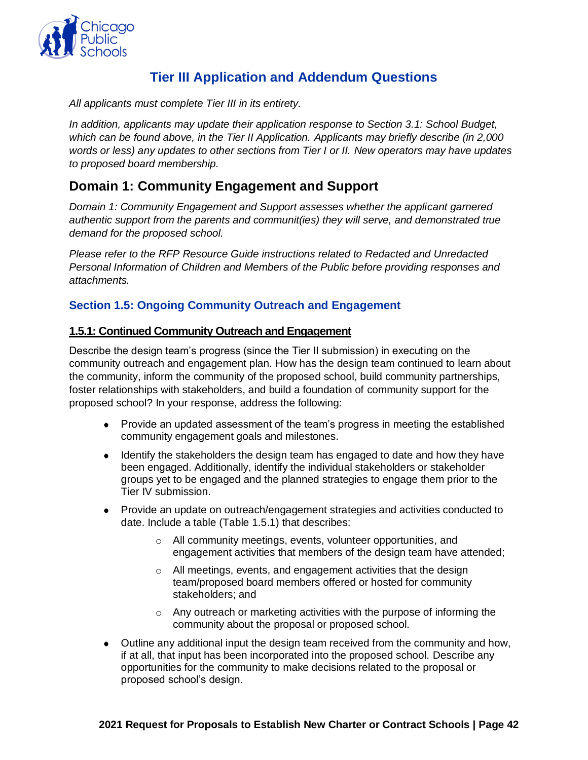

# **Tier III Application and Addendum Questions**

<span id="page-43-0"></span>*All applicants must complete Tier III in its entirety.*

*In addition, applicants may update their application response to Section 3.1: School Budget, which can be found above, in the Tier II Application. Applicants may briefly describe (in 2,000 words or less) any updates to other sections from Tier I or II. New operators may have updates to proposed board membership.*

# <span id="page-43-1"></span>**Domain 1: Community Engagement and Support**

*Domain 1: Community Engagement and Support assesses whether the applicant garnered authentic support from the parents and communit(ies) they will serve, and demonstrated true demand for the proposed school.*

*Please refer to the RFP Resource Guide instructions related to Redacted and Unredacted Personal Information of Children and Members of the Public before providing responses and attachments.*

#### **Section 1.5: Ongoing Community Outreach and Engagement**

#### **1.5.1: Continued Community Outreach and Engagement**

Describe the design team's progress (since the Tier II submission) in executing on the community outreach and engagement plan. How has the design team continued to learn about the community, inform the community of the proposed school, build community partnerships, foster relationships with stakeholders, and build a foundation of community support for the proposed school? In your response, address the following:

- Provide an updated assessment of the team's progress in meeting the established community engagement goals and milestones.
- Identify the stakeholders the design team has engaged to date and how they have been engaged. Additionally, identify the individual stakeholders or stakeholder groups yet to be engaged and the planned strategies to engage them prior to the Tier IV submission.
- Provide an update on outreach/engagement strategies and activities conducted to date. Include a table (Table 1.5.1) that describes:
	- o All community meetings, events, volunteer opportunities, and engagement activities that members of the design team have attended;
	- o All meetings, events, and engagement activities that the design team/proposed board members offered or hosted for community stakeholders; and
	- o Any outreach or marketing activities with the purpose of informing the community about the proposal or proposed school.
- Outline any additional input the design team received from the community and how, if at all, that input has been incorporated into the proposed school. Describe any opportunities for the community to make decisions related to the proposal or proposed school's design.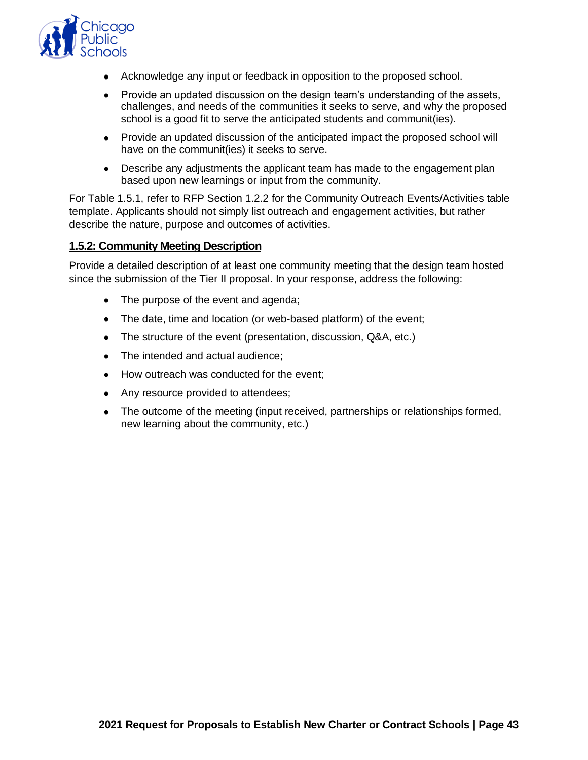

- Acknowledge any input or feedback in opposition to the proposed school.
- Provide an updated discussion on the design team's understanding of the assets, challenges, and needs of the communities it seeks to serve, and why the proposed school is a good fit to serve the anticipated students and communit(ies).
- Provide an updated discussion of the anticipated impact the proposed school will have on the communit(ies) it seeks to serve.
- Describe any adjustments the applicant team has made to the engagement plan based upon new learnings or input from the community.

For Table 1.5.1, refer to RFP Section 1.2.2 for the Community Outreach Events/Activities table template. Applicants should not simply list outreach and engagement activities, but rather describe the nature, purpose and outcomes of activities.

#### **1.5.2: Community Meeting Description**

Provide a detailed description of at least one community meeting that the design team hosted since the submission of the Tier II proposal. In your response, address the following:

- The purpose of the event and agenda;
- The date, time and location (or web-based platform) of the event;
- The structure of the event (presentation, discussion, Q&A, etc.)
- The intended and actual audience:
- How outreach was conducted for the event;
- Any resource provided to attendees;
- The outcome of the meeting (input received, partnerships or relationships formed, new learning about the community, etc.)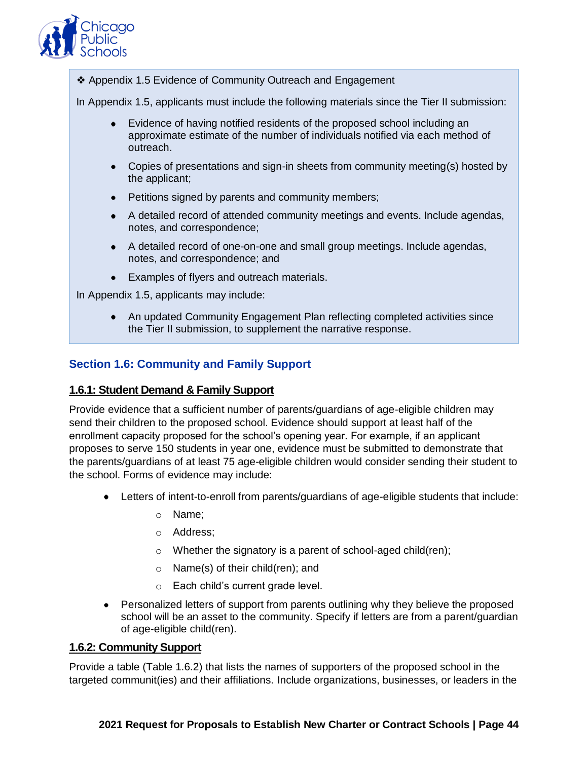

❖ Appendix 1.5 Evidence of Community Outreach and Engagement

In Appendix 1.5, applicants must include the following materials since the Tier II submission:

- Evidence of having notified residents of the proposed school including an approximate estimate of the number of individuals notified via each method of outreach.
- Copies of presentations and sign-in sheets from community meeting(s) hosted by the applicant;
- Petitions signed by parents and community members;
- A detailed record of attended community meetings and events. Include agendas, notes, and correspondence;
- A detailed record of one-on-one and small group meetings. Include agendas, notes, and correspondence; and
- Examples of flyers and outreach materials.

In Appendix 1.5, applicants may include:

• An updated Community Engagement Plan reflecting completed activities since the Tier II submission, to supplement the narrative response.

# **Section 1.6: Community and Family Support**

#### **1.6.1: Student Demand & Family Support**

Provide evidence that a sufficient number of parents/guardians of age-eligible children may send their children to the proposed school. Evidence should support at least half of the enrollment capacity proposed for the school's opening year. For example, if an applicant proposes to serve 150 students in year one, evidence must be submitted to demonstrate that the parents/guardians of at least 75 age-eligible children would consider sending their student to the school. Forms of evidence may include:

- Letters of intent-to-enroll from parents/guardians of age-eligible students that include:
	- o Name;
	- o Address;
	- o Whether the signatory is a parent of school-aged child(ren);
	- o Name(s) of their child(ren); and
	- o Each child's current grade level.
- Personalized letters of support from parents outlining why they believe the proposed school will be an asset to the community. Specify if letters are from a parent/guardian of age-eligible child(ren).

#### **1.6.2: Community Support**

Provide a table (Table 1.6.2) that lists the names of supporters of the proposed school in the targeted communit(ies) and their affiliations. Include organizations, businesses, or leaders in the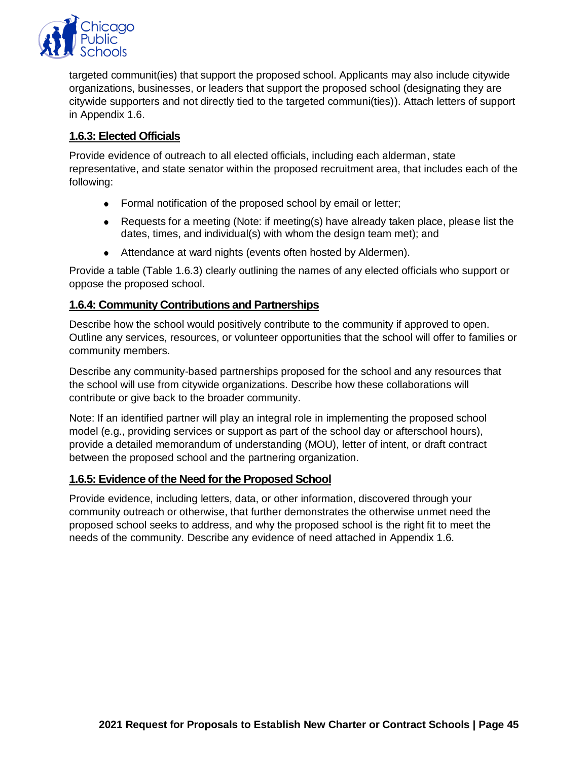

targeted communit(ies) that support the proposed school. Applicants may also include citywide organizations, businesses, or leaders that support the proposed school (designating they are citywide supporters and not directly tied to the targeted communi(ties)). Attach letters of support in Appendix 1.6.

# **1.6.3: Elected Officials**

Provide evidence of outreach to all elected officials, including each alderman, state representative, and state senator within the proposed recruitment area, that includes each of the following:

- Formal notification of the proposed school by email or letter;
- Requests for a meeting (Note: if meeting(s) have already taken place, please list the dates, times, and individual(s) with whom the design team met); and
- Attendance at ward nights (events often hosted by Aldermen).

Provide a table (Table 1.6.3) clearly outlining the names of any elected officials who support or oppose the proposed school.

#### **1.6.4: Community Contributions and Partnerships**

Describe how the school would positively contribute to the community if approved to open. Outline any services, resources, or volunteer opportunities that the school will offer to families or community members.

Describe any community-based partnerships proposed for the school and any resources that the school will use from citywide organizations. Describe how these collaborations will contribute or give back to the broader community.

Note: If an identified partner will play an integral role in implementing the proposed school model (e.g., providing services or support as part of the school day or afterschool hours), provide a detailed memorandum of understanding (MOU), letter of intent, or draft contract between the proposed school and the partnering organization.

#### **1.6.5: Evidence of the Need for the Proposed School**

Provide evidence, including letters, data, or other information, discovered through your community outreach or otherwise, that further demonstrates the otherwise unmet need the proposed school seeks to address, and why the proposed school is the right fit to meet the needs of the community. Describe any evidence of need attached in Appendix 1.6.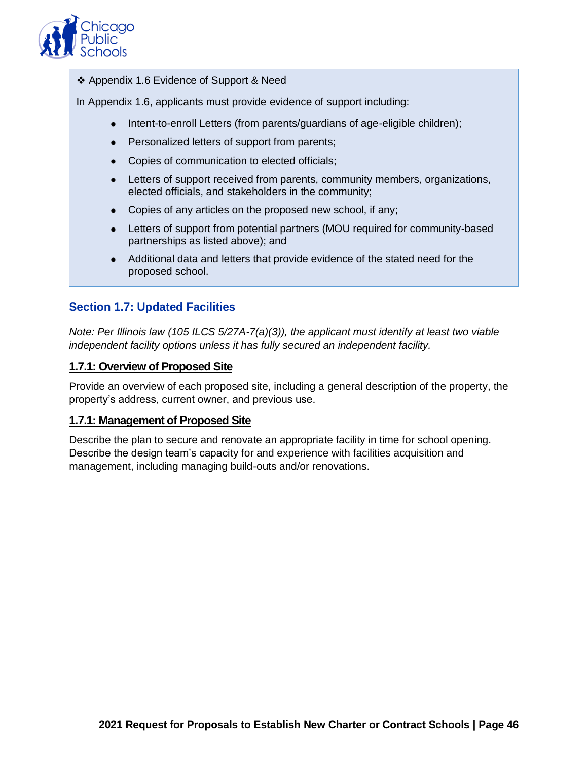

❖ Appendix 1.6 Evidence of Support & Need

In Appendix 1.6, applicants must provide evidence of support including:

- Intent-to-enroll Letters (from parents/guardians of age-eligible children);
- Personalized letters of support from parents;
- Copies of communication to elected officials;
- Letters of support received from parents, community members, organizations, elected officials, and stakeholders in the community;
- Copies of any articles on the proposed new school, if any;
- Letters of support from potential partners (MOU required for community-based partnerships as listed above); and
- Additional data and letters that provide evidence of the stated need for the proposed school.

#### **Section 1.7: Updated Facilities**

*Note: Per Illinois law (105 ILCS 5/27A-7(a)(3)), the applicant must identify at least two viable independent facility options unless it has fully secured an independent facility.*

#### **1.7.1: Overview of Proposed Site**

Provide an overview of each proposed site, including a general description of the property, the property's address, current owner, and previous use.

#### **1.7.1: Management of Proposed Site**

Describe the plan to secure and renovate an appropriate facility in time for school opening. Describe the design team's capacity for and experience with facilities acquisition and management, including managing build-outs and/or renovations.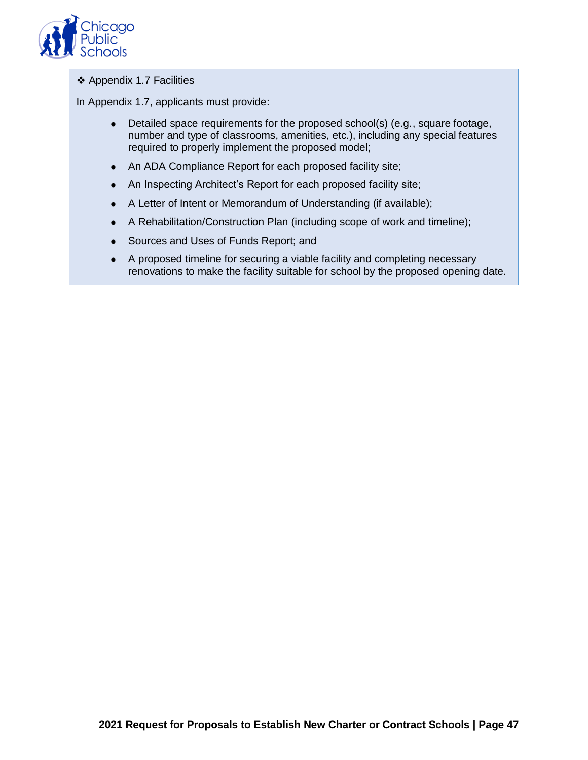

#### ❖ Appendix 1.7 Facilities

In Appendix 1.7, applicants must provide:

- Detailed space requirements for the proposed school(s) (e.g., square footage, number and type of classrooms, amenities, etc.), including any special features required to properly implement the proposed model;
- An ADA Compliance Report for each proposed facility site;
- An Inspecting Architect's Report for each proposed facility site;
- A Letter of Intent or Memorandum of Understanding (if available);
- A Rehabilitation/Construction Plan (including scope of work and timeline);
- Sources and Uses of Funds Report; and
- A proposed timeline for securing a viable facility and completing necessary renovations to make the facility suitable for school by the proposed opening date.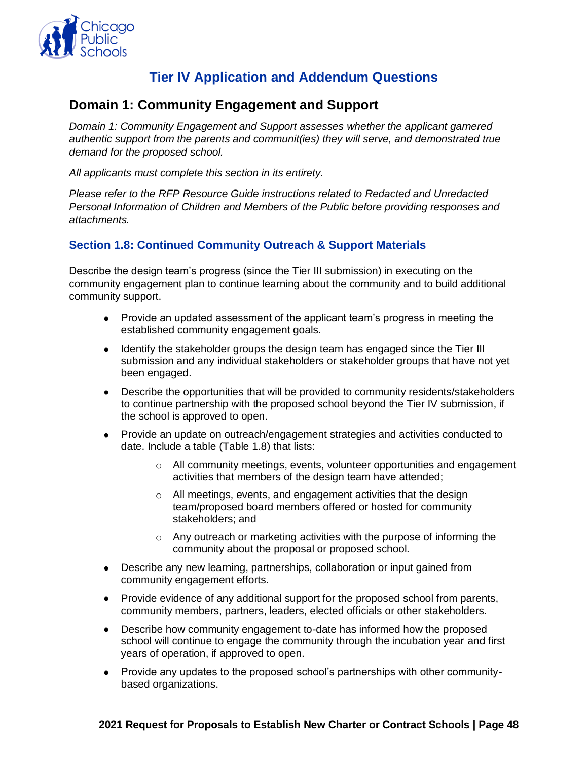

# **Tier IV Application and Addendum Questions**

# <span id="page-49-1"></span><span id="page-49-0"></span>**Domain 1: Community Engagement and Support**

*Domain 1: Community Engagement and Support assesses whether the applicant garnered authentic support from the parents and communit(ies) they will serve, and demonstrated true demand for the proposed school.*

*All applicants must complete this section in its entirety.*

*Please refer to the RFP Resource Guide instructions related to Redacted and Unredacted Personal Information of Children and Members of the Public before providing responses and attachments.*

# **Section 1.8: Continued Community Outreach & Support Materials**

Describe the design team's progress (since the Tier III submission) in executing on the community engagement plan to continue learning about the community and to build additional community support.

- Provide an updated assessment of the applicant team's progress in meeting the established community engagement goals.
- Identify the stakeholder groups the design team has engaged since the Tier III submission and any individual stakeholders or stakeholder groups that have not yet been engaged.
- Describe the opportunities that will be provided to community residents/stakeholders to continue partnership with the proposed school beyond the Tier IV submission, if the school is approved to open.
- Provide an update on outreach/engagement strategies and activities conducted to date. Include a table (Table 1.8) that lists:
	- $\circ$  All community meetings, events, volunteer opportunities and engagement activities that members of the design team have attended;
	- o All meetings, events, and engagement activities that the design team/proposed board members offered or hosted for community stakeholders; and
	- $\circ$  Any outreach or marketing activities with the purpose of informing the community about the proposal or proposed school.
- Describe any new learning, partnerships, collaboration or input gained from community engagement efforts.
- Provide evidence of any additional support for the proposed school from parents, community members, partners, leaders, elected officials or other stakeholders.
- Describe how community engagement to-date has informed how the proposed school will continue to engage the community through the incubation year and first years of operation, if approved to open.
- Provide any updates to the proposed school's partnerships with other communitybased organizations.